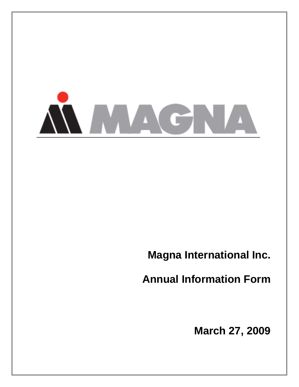

**Magna International Inc.** 

**Annual Information Form** 

**March 27, 2009**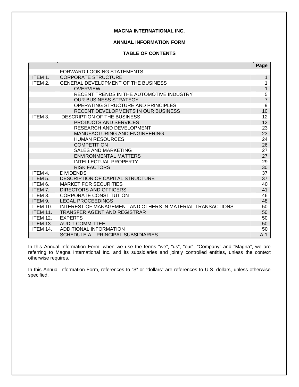# **MAGNA INTERNATIONAL INC.**

# **ANNUAL INFORMATION FORM**

# **TABLE OF CONTENTS**

|                 |                                                            | Page             |
|-----------------|------------------------------------------------------------|------------------|
|                 | <b>FORWARD-LOOKING STATEMENTS</b>                          |                  |
| ITEM 1.         | <b>CORPORATE STRUCTURE</b>                                 | 1                |
| ITEM 2.         | <b>GENERAL DEVELOPMENT OF THE BUSINESS</b>                 | 1                |
|                 | <b>OVERVIEW</b>                                            | $\mathbf 1$      |
|                 | RECENT TRENDS IN THE AUTOMOTIVE INDUSTRY                   | $\frac{5}{7}$    |
|                 | <b>OUR BUSINESS STRATEGY</b>                               |                  |
|                 | OPERATING STRUCTURE AND PRINCIPLES                         | $\boldsymbol{9}$ |
|                 | <b>RECENT DEVELOPMENTS IN OUR BUSINESS</b>                 | 10               |
| ITEM 3.         | DESCRIPTION OF THE BUSINESS                                | 12               |
|                 | <b>PRODUCTS AND SERVICES</b>                               | 12               |
|                 | RESEARCH AND DEVELOPMENT                                   | 23               |
|                 | <b>MANUFACTURING AND ENGINEERING</b>                       | 23               |
|                 | <b>HUMAN RESOURCES</b>                                     | 24               |
|                 | <b>COMPETITION</b>                                         | 26               |
|                 | <b>SALES AND MARKETING</b>                                 | 27               |
|                 | <b>ENVIRONMENTAL MATTERS</b>                               | 27               |
|                 | <b>INTELLECTUAL PROPERTY</b>                               | 29               |
|                 | <b>RISK FACTORS</b>                                        | 30               |
| ITEM 4.         | <b>DIVIDENDS</b>                                           | 37               |
| ITEM 5.         | DESCRIPTION OF CAPITAL STRUCTURE                           | 37               |
| ITEM 6.         | <b>MARKET FOR SECURITIES</b>                               | 40               |
| ITEM 7.         | DIRECTORS AND OFFICERS                                     | 41               |
| ITEM 8.         | <b>CORPORATE CONSTITUTION</b>                              | 46               |
| ITEM 9.         | <b>LEGAL PROCEEDINGS</b>                                   | 48               |
| <b>ITEM 10.</b> | INTEREST OF MANAGEMENT AND OTHERS IN MATERIAL TRANSACTIONS | 50               |
| <b>ITEM 11.</b> | TRANSFER AGENT AND REGISTRAR                               | 50               |
| <b>ITEM 12.</b> | <b>EXPERTS</b>                                             | 50               |
| <b>ITEM 13.</b> | <b>AUDIT COMMITTEE</b>                                     | 50               |
| <b>ITEM 14.</b> | <b>ADDITIONAL INFORMATION</b>                              | 50               |
|                 | SCHEDULE A - PRINCIPAL SUBSIDIARIES                        | $A-1$            |

In this Annual Information Form, when we use the terms "we", "us", "our", "Company" and "Magna", we are referring to Magna International Inc. and its subsidiaries and jointly controlled entities, unless the context otherwise requires.

In this Annual Information Form, references to "\$" or "dollars" are references to U.S. dollars, unless otherwise specified.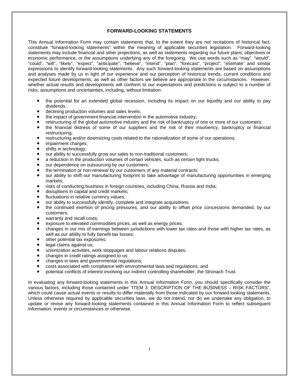## **FORWARD-LOOKING STATEMENTS**

This Annual Information Form may contain statements that, to the extent they are not recitations of historical fact, constitute "forward-looking statements" within the meaning of applicable securities legislation. Forward-looking statements may include financial and other projections, as well as statements regarding our future plans, objectives or economic performance, or the assumptions underlying any of the foregoing. We use words such as "may", "would", "could", "will", "likely", "expect", "anticipate", "believe", "intend", "plan", "forecast", "project", "estimate" and similar expressions to identify forward-looking statements. Any such forward-looking statements are based on assumptions and analyses made by us in light of our experience and our perception of historical trends, current conditions and expected future developments, as well as other factors we believe are appropriate in the circumstances. However, whether actual results and developments will conform to our expectations and predictions is subject to a number of risks, assumptions and uncertainties, including, without limitation:

- the potential for an extended global recession, including its impact on our liquidity and our ability to pay dividends;
- declining production volumes and sales levels;
- the impact of government financial intervention in the automotive industry;
- **F** restructuring of the global automotive industry and the risk of bankruptcy of one or more of our customers;
- the financial distress of some of our suppliers and the risk of their insolvency, bankruptcy or financial restructuring;
- **F** restructuring and/or downsizing costs related to the rationalization of some of our operations;
- **n** impairment charges;
- **shifts in technology;**
- our ability to successfully grow our sales to non-traditional customers;
- a reduction in the production volumes of certain vehicles, such as certain light trucks;
- our dependence on outsourcing by our customers;
- the termination or non-renewal by our customers of any material contracts:
- our ability to shift our manufacturing footprint to take advantage of manufacturing opportunities in emerging markets;
- risks of conducting business in foreign countries, including China, Russia and India;
- disruptions in capital and credit markets;
- **fluctuations in relative currency values;**
- our ability to successfully identify, complete and integrate acquisitions;
- the continued exertion of pricing pressures, and our ability to offset price concessions demanded, by our customers;
- warranty and recall costs;
- exposure to elevated commodities prices, as well as energy prices;
- changes in our mix of earnings between jurisdictions with lower tax rates and those with higher tax rates, as well as our ability to fully benefit tax losses;
- other potential tax exposures;
- egal claims against us;
- unionization activities, work stoppages and labour relations disputes;
- changes in credit ratings assigned to us;
- changes in laws and governmental regulations;
- costs associated with compliance with environmental laws and regulations; and
- **P** potential conflicts of interest involving our indirect controlling shareholder, the Stronach Trust.

In evaluating any forward-looking statements in this Annual Information Form, you should specifically consider the various factors, including those contained under "ITEM 3. DESCRIPTION OF THE BUSINESS – RISK FACTORS", which could cause actual events or results to differ materially from those indicated by our forward-looking statements. Unless otherwise required by applicable securities laws, we do not intend, nor do we undertake any obligation, to update or revise any forward-looking statements contained in this Annual Information Form to reflect subsequent information, events or circumstances or otherwise.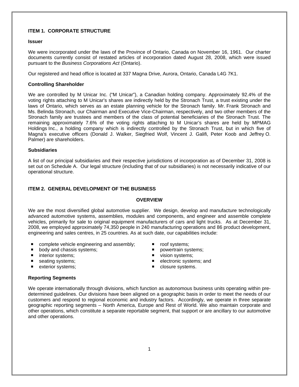# **ITEM 1. CORPORATE STRUCTURE**

### **Issuer**

We were incorporated under the laws of the Province of Ontario, Canada on November 16, 1961. Our charter documents currently consist of restated articles of incorporation dated August 28, 2008, which were issued pursuant to the *Business Corporations Act* (Ontario).

Our registered and head office is located at 337 Magna Drive, Aurora, Ontario, Canada L4G 7K1.

### **Controlling Shareholder**

We are controlled by M Unicar Inc. ("M Unicar"), a Canadian holding company. Approximately 92.4% of the voting rights attaching to M Unicar's shares are indirectly held by the Stronach Trust, a trust existing under the laws of Ontario, which serves as an estate planning vehicle for the Stronach family. Mr. Frank Stronach and Ms. Belinda Stronach, our Chairman and Executive Vice-Chairman, respectively, and two other members of the Stronach family are trustees and members of the class of potential beneficiaries of the Stronach Trust. The remaining approximately 7.6% of the voting rights attaching to M Unicar's shares are held by MPMAG Holdings Inc., a holding company which is indirectly controlled by the Stronach Trust, but in which five of Magna's executive officers (Donald J. Walker, Siegfried Wolf, Vincent J. Galifi, Peter Koob and Jeffrey O. Palmer) are shareholders.

### **Subsidiaries**

A list of our principal subsidiaries and their respective jurisdictions of incorporation as of December 31, 2008 is set out on Schedule A. Our legal structure (including that of our subsidiaries) is not necessarily indicative of our operational structure.

## **ITEM 2. GENERAL DEVELOPMENT OF THE BUSINESS**

### **OVERVIEW**

We are the most diversified global automotive supplier. We design, develop and manufacture technologically advanced automotive systems, assemblies, modules and components, and engineer and assemble complete vehicles, primarily for sale to original equipment manufacturers of cars and light trucks. As at December 31, 2008, we employed approximately 74,350 people in 240 manufacturing operations and 86 product development, engineering and sales centres, in 25 countries. As at such date, our capabilities include:

- complete vehicle engineering and assembly;  $\blacksquare$  roof systems;
- **body and chassis systems; powertrain systems; powertrain systems**;
- 
- 
- 
- 
- 
- interior systems;  $\blacksquare$  vision systems;
- seating systems;  $\qquad \qquad \blacksquare$  electronic systems; and
- exterior systems;  $\blacksquare$  closure systems.

## **Reporting Segments**

We operate internationally through divisions, which function as autonomous business units operating within predetermined guidelines. Our divisions have been aligned on a geographic basis in order to meet the needs of our customers and respond to regional economic and industry factors. Accordingly, we operate in three separate geographic reporting segments – North America, Europe and Rest of World. We also maintain corporate and other operations, which constitute a separate reportable segment, that support or are ancillary to our automotive and other operations.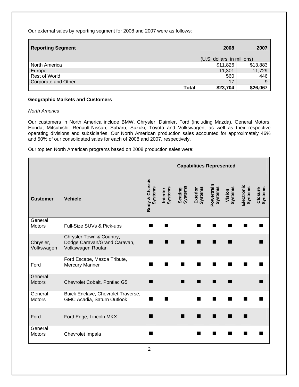Our external sales by reporting segment for 2008 and 2007 were as follows:

| Reporting Segment    | 2008                        | 2007     |
|----------------------|-----------------------------|----------|
|                      | (U.S. dollars, in millions) |          |
| North America        | \$11,826                    | \$13,883 |
| Europe               | 11,301                      | 11,729   |
| <b>Rest of World</b> | 560                         | 446      |
| Corporate and Other  | 17                          |          |
| Total                | \$23,704                    | \$26,067 |

# **Geographic Markets and Customers**

# *North America*

Our customers in North America include BMW, Chrysler, Daimler, Ford (including Mazda), General Motors, Honda, Mitsubishi, Renault-Nissan, Subaru, Suzuki, Toyota and Volkswagen, as well as their respective operating divisions and subsidiaries. Our North American production sales accounted for approximately 46% and 50% of our consolidated sales for each of 2008 and 2007, respectively.

Our top ten North American programs based on 2008 production sales were:

|                          |                                                                               | <b>Capabilities Represented</b> |                            |                    |                            |                       |                   |                              |                           |
|--------------------------|-------------------------------------------------------------------------------|---------------------------------|----------------------------|--------------------|----------------------------|-----------------------|-------------------|------------------------------|---------------------------|
| <b>Customer</b>          | <b>Vehicle</b>                                                                | Body & Chassis<br>Systems       | <b>Systems</b><br>Interior | Systems<br>Seating | <b>Systems</b><br>Exterior | Powertrain<br>Systems | Systems<br>Vision | Electronic<br><b>Systems</b> | <b>Systems</b><br>Closure |
| General<br><b>Motors</b> | Full-Size SUVs & Pick-ups                                                     |                                 |                            |                    |                            |                       |                   |                              |                           |
| Chrysler,<br>Volkswagen  | Chrysler Town & Country,<br>Dodge Caravan/Grand Caravan,<br>Volkswagen Routan |                                 |                            |                    |                            |                       |                   |                              |                           |
| Ford                     | Ford Escape, Mazda Tribute,<br><b>Mercury Mariner</b>                         |                                 |                            |                    |                            |                       |                   |                              |                           |
| General<br><b>Motors</b> | Chevrolet Cobalt, Pontiac G5                                                  |                                 |                            |                    |                            |                       |                   |                              |                           |
| General<br><b>Motors</b> | Buick Enclave, Chevrolet Traverse,<br>GMC Acadia, Saturn Outlook              |                                 |                            |                    |                            |                       |                   |                              |                           |
| Ford                     | Ford Edge, Lincoln MKX                                                        |                                 |                            |                    |                            |                       |                   |                              |                           |
| General<br><b>Motors</b> | Chevrolet Impala                                                              |                                 |                            |                    |                            |                       |                   |                              |                           |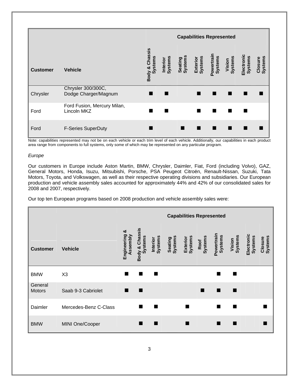**Capabilities Represented Customer Vehicle Body & Chassis**  Body & Chassis<br>Systems **Interior Systems Seating Systems Exterior Systems Powertrain Systems Vision Systems Electronic Systems Closure Systems Chrysler** Chrysler 300/300C, Dodge Charger/Magnum Ford Ford Fusion, Mercury Milan, Lincoln MKZ . . . . Ford F-Series SuperDuty **The Contract of Contract Contract Contract Contract Contract Contract Contract Contract Contract Contract Contract Contract Contract Contract Contract Contract Contract Contract Contract Contract C** 

Note: capabilities represented may not be on each vehicle or each trim level of each vehicle. Additionally, our capabilities in each product area range from components to full systems, only some of which may be represented on any particular program.

## *Europe*

Our customers in Europe include Aston Martin, BMW, Chrysler, Daimler, Fiat, Ford (including Volvo), GAZ, General Motors, Honda, Isuzu, Mitsubishi, Porsche, PSA Peugeot Citroën, Renault-Nissan, Suzuki, Tata Motors, Toyota, and Volkswagen, as well as their respective operating divisions and subsidiaries. Our European production and vehicle assembly sales accounted for approximately 44% and 42% of our consolidated sales for 2008 and 2007, respectively.

Our top ten European programs based on 2008 production and vehicle assembly sales were:

|                          |                       |                              | <b>Capabilities Represented</b> |                            |                    |                            |                 |                              |                   |                              |                           |
|--------------------------|-----------------------|------------------------------|---------------------------------|----------------------------|--------------------|----------------------------|-----------------|------------------------------|-------------------|------------------------------|---------------------------|
| <b>Customer</b>          | <b>Vehicle</b>        | ఱ<br>Engineering<br>Assembly | Body & Chassis<br>Systems       | <b>Systems</b><br>Interior | Systems<br>Seating | <b>Systems</b><br>Exterior | Systems<br>Roof | Powertrain<br><b>Systems</b> | Vision<br>Systems | Electronic<br><b>Systems</b> | <b>Systems</b><br>Closure |
| <b>BMW</b>               | X3                    | ▅                            |                                 | п                          |                    |                            |                 | ٠                            | ▅                 |                              |                           |
| General<br><b>Motors</b> | Saab 9-3 Cabriolet    | ٠                            | ▅                               |                            |                    |                            |                 | ٠                            |                   |                              |                           |
| Daimler                  | Mercedes-Benz C-Class |                              |                                 |                            |                    | ٠                          |                 |                              |                   |                              |                           |
| <b>BMW</b>               | MINI One/Cooper       |                              |                                 |                            |                    |                            |                 |                              |                   |                              |                           |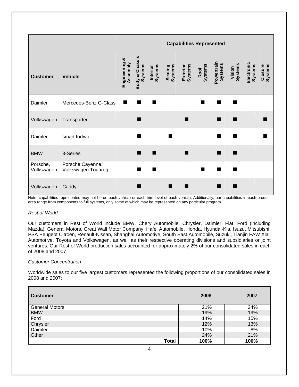|                        |                                        | <b>Capabilities Represented</b> |                                  |                     |                    |                     |                 |                              |                   |                       |                    |
|------------------------|----------------------------------------|---------------------------------|----------------------------------|---------------------|--------------------|---------------------|-----------------|------------------------------|-------------------|-----------------------|--------------------|
| <b>Customer</b>        | <b>Vehicle</b>                         | ఱ<br>Engineering<br>Assembly    | Body & Chassis<br><b>Systems</b> | Systems<br>Interior | Seating<br>Systems | Exterior<br>Systems | Roof<br>Systems | Powertrain<br><b>Systems</b> | Vision<br>Systems | Electronic<br>Systems | Systems<br>Closure |
| Daimler                | Mercedes-Benz G-Class                  | ٠                               | ш                                | ш                   |                    |                     |                 |                              |                   |                       |                    |
| Volkswagen             | Transporter                            |                                 |                                  |                     |                    | ٠                   |                 |                              |                   |                       |                    |
| Daimler                | smart fortwo                           |                                 |                                  |                     | ٠                  |                     |                 |                              |                   |                       |                    |
| <b>BMW</b>             | 3-Series                               |                                 | H                                | ш                   |                    | ■                   |                 |                              |                   |                       |                    |
| Porsche,<br>Volkswagen | Porsche Cayenne,<br>Volkswagen Touareg |                                 |                                  | ш                   |                    |                     | ш               |                              |                   |                       |                    |
| Volkswagen             | Caddy                                  |                                 |                                  |                     | ٠                  |                     |                 |                              |                   |                       |                    |

Note: capabilities represented may not be on each vehicle or each trim level of each vehicle. Additionally, our capabilities in each product area range from components to full systems, only some of which may be represented on any particular program.

## *Rest of World*

Our customers in Rest of World include BMW, Chery Automobile, Chrysler, Daimler, Fiat, Ford (including Mazda), General Motors, Great Wall Motor Company, Hafei Automobile, Honda, Hyundai-Kia, Isuzu, Mitsubishi, PSA Peugeot Citroën, Renault-Nissan, Shanghai Automotive, South East Automobile, Suzuki, Tianjin FAW Xiali Automotive, Toyota and Volkswagen, as well as their respective operating divisions and subsidiaries or joint ventures. Our Rest of World production sales accounted for approximately 2% of our consolidated sales in each of 2008 and 2007.

## *Customer Concentration*

Worldwide sales to our five largest customers represented the following proportions of our consolidated sales in 2008 and 2007:

| <b>Customer</b>       | 2008 | 2007 |
|-----------------------|------|------|
| <b>General Motors</b> | 21%  | 24%  |
| <b>BMW</b>            | 19%  | 19%  |
| Ford                  | 14%  | 15%  |
| Chrysler              | 12%  | 13%  |
| Daimler               | 10%  | 8%   |
| <b>Other</b>          | 24%  | 21%  |
| Total                 | 100% | 100% |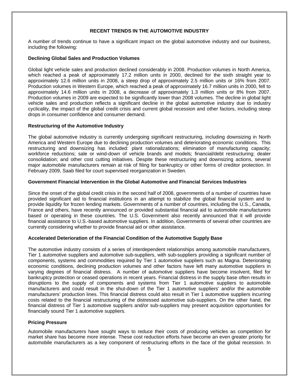# **RECENT TRENDS IN THE AUTOMOTIVE INDUSTRY**

A number of trends continue to have a significant impact on the global automotive industry and our business, including the following:

### **Declining Global Sales and Production Volumes**

Global light vehicle sales and production declined considerably in 2008. Production volumes in North America, which reached a peak of approximately 17.2 million units in 2000, declined for the sixth straight year to approximately 12.6 million units in 2008, a steep drop of approximately 2.5 million units or 16% from 2007. Production volumes in Western Europe, which reached a peak of approximately 16.7 million units in 2000, fell to approximately 14.6 million units in 2008, a decrease of approximately 1.3 million units or 8% from 2007. Production volumes in 2009 are expected to be significantly lower than 2008 volumes. The decline in global light vehicle sales and production reflects a significant decline in the global automotive industry due to industry cyclicality, the impact of the global credit crisis and current global recession and other factors, including steep drops in consumer confidence and consumer demand.

### **Restructuring of the Automotive Industry**

The global automotive industry is currently undergoing significant restructuring, including downsizing in North America and Western Europe due to declining production volumes and deteriorating economic conditions. This restructuring and downsizing has included: plant rationalizations; elimination of manufacturing capacity; workforce reductions; sale or wind-down of vehicle brands and models; financial/debt restructuring; dealer consolidation; and other cost cutting initiatives. Despite these restructuring and downsizing actions, several major automobile manufacturers remain at risk of filing for bankruptcy or other forms of creditor protection. In February 2009, Saab filed for court supervised reorganization in Sweden.

### **Government Financial Intervention in the Global Automotive and Financial Services Industries**

Since the onset of the global credit crisis in the second half of 2008, governments of a number of countries have provided significant aid to financial institutions in an attempt to stabilize the global financial system and to provide liquidity for frozen lending markets. Governments of a number of countries, including the U.S., Canada, France and others, have recently announced or provided substantial financial aid to automobile manufacturers based or operating in these countries. The U.S. Government also recently announced that it will provide financial assistance to U.S.-based automotive suppliers. In addition, Governments of several other countries are currently considering whether to provide financial aid or other assistance.

## **Accelerated Deterioration of the Financial Condition of the Automotive Supply Base**

The automotive industry consists of a series of interdependent relationships among automobile manufacturers, Tier 1 automotive suppliers and automotive sub-suppliers, with sub-suppliers providing a significant number of components, systems and commodities required by Tier 1 automotive suppliers such as Magna. Deteriorating economic conditions, declining production volumes and other factors have left many automotive suppliers in varying degrees of financial distress. A number of automotive suppliers have become insolvent, filed for bankruptcy protection or ceased operations in recent years. Financial distress in the supply base often results in disruptions to the supply of components and systems from Tier 1 automotive suppliers to automobile manufacturers and could result in the shut-down of the Tier 1 automotive suppliers' and/or the automobile manufacturers' production lines. This financial distress could also result in Tier 1 automotive suppliers incurring costs related to the financial restructuring of the distressed automotive sub-suppliers. On the other hand, the financial distress of Tier 1 automotive suppliers and/or sub-suppliers may present acquisition opportunities for financially sound Tier 1 automotive suppliers.

## **Pricing Pressure**

Automobile manufacturers have sought ways to reduce their costs of producing vehicles as competition for market share has become more intense. These cost reduction efforts have become an even greater priority for automobile manufacturers as a key component of restructuring efforts in the face of the global recession. In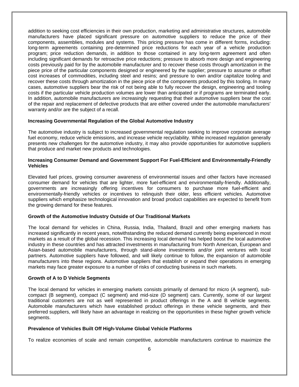addition to seeking cost efficiencies in their own production, marketing and administrative structures, automobile manufacturers have placed significant pressure on automotive suppliers to reduce the price of their components, assemblies, modules and systems. This pricing pressure has come in different forms, including: long-term agreements containing pre-determined price reductions for each year of a vehicle production program; price reduction demands, in addition to those contained in any long-term agreement and often including significant demands for retroactive price reductions; pressure to absorb more design and engineering costs previously paid for by the automobile manufacturer and to recover these costs through amortization in the piece price of the particular components designed or engineered by the supplier; pressure to assume or offset cost increases of commodities, including steel and resins; and pressure to own and/or capitalize tooling and recover these costs through amortization in the piece price of the components produced by this tooling. In many cases, automotive suppliers bear the risk of not being able to fully recover the design, engineering and tooling costs if the particular vehicle production volumes are lower than anticipated or if programs are terminated early. In addition, automobile manufacturers are increasingly requesting that their automotive suppliers bear the cost of the repair and replacement of defective products that are either covered under the automobile manufacturers' warranty and/or are the subject of a recall.

### **Increasing Governmental Regulation of the Global Automotive Industry**

The automotive industry is subject to increased governmental regulation seeking to improve corporate average fuel economy, reduce vehicle emissions, and increase vehicle recyclability. While increased regulation generally presents new challenges for the automotive industry, it may also provide opportunities for automotive suppliers that produce and market new products and technologies.

### **Increasing Consumer Demand and Government Support For Fuel-Efficient and Environmentally-Friendly Vehicles**

Elevated fuel prices, growing consumer awareness of environmental issues and other factors have increased consumer demand for vehicles that are lighter, more fuel-efficient and environmentally-friendly. Additionally, governments are increasingly offering incentives for consumers to purchase more fuel-efficient and environmentally-friendly vehicles or incentives to relinquish their older, less efficient vehicles. Automotive suppliers which emphasize technological innovation and broad product capabilities are expected to benefit from the growing demand for these features.

### **Growth of the Automotive Industry Outside of Our Traditional Markets**

The local demand for vehicles in China, Russia, India, Thailand, Brazil and other emerging markets has increased significantly in recent years, notwithstanding the reduced demand currently being experienced in most markets as a result of the global recession. This increasing local demand has helped boost the local automotive industry in these countries and has attracted investments in manufacturing from North American, European and Asian-based automobile manufacturers, through stand-alone investments and/or joint ventures with local partners. Automotive suppliers have followed, and will likely continue to follow, the expansion of automobile manufacturers into these regions. Automotive suppliers that establish or expand their operations in emerging markets may face greater exposure to a number of risks of conducting business in such markets.

### **Growth of A to D Vehicle Segments**

The local demand for vehicles in emerging markets consists primarily of demand for micro (A segment), subcompact (B segment), compact (C segment) and mid-size (D segment) cars. Currently, some of our largest traditional customers are not as well represented in product offerings in the A and B vehicle segments. Automobile manufacturers which have established product offerings in these vehicle segments, and their preferred suppliers, will likely have an advantage in realizing on the opportunities in these higher growth vehicle segments.

### **Prevalence of Vehicles Built Off High-Volume Global Vehicle Platforms**

To realize economies of scale and remain competitive, automobile manufacturers continue to maximize the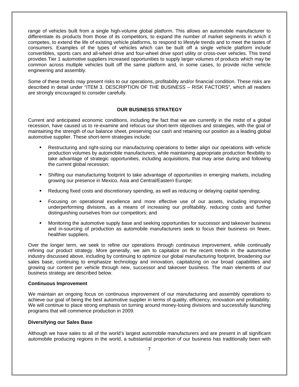range of vehicles built from a single high-volume global platform. This allows an automobile manufacturer to differentiate its products from those of its competitors, to expand the number of market segments in which it competes, to extend the life of existing vehicle platforms, to respond to lifestyle trends and to meet the tastes of consumers. Examples of the types of vehicles which can be built off a single vehicle platform include convertibles, sports cars and all-wheel drive and four-wheel drive sport utility or cross-over vehicles. This trend provides Tier 1 automotive suppliers increased opportunities to supply larger volumes of products which may be common across multiple vehicles built off the same platform and, in some cases, to provide niche vehicle engineering and assembly.

Some of these trends may present risks to our operations, profitability and/or financial condition. These risks are described in detail under "ITEM 3. DESCRIPTION OF THE BUSINESS – RISK FACTORS", which all readers are strongly encouraged to consider carefully.

### **OUR BUSINESS STRATEGY**

Current and anticipated economic conditions, including the fact that we are currently in the midst of a global recession, have caused us to re-examine and refocus our short-term objectives and strategies, with the goal of maintaining the strength of our balance sheet, preserving our cash and retaining our position as a leading global automotive supplier. These short-term strategies include:

- Restructuring and right-sizing our manufacturing operations to better align our operations with vehicle production volumes by automobile manufacturers, while maintaining appropriate production flexibility to take advantage of strategic opportunities, including acquisitions, that may arise during and following the current global recession;
- Shifting our manufacturing footprint to take advantage of opportunities in emerging markets, including growing our presence in Mexico, Asia and Central/Eastern Europe;
- Reducing fixed costs and discretionary spending, as well as reducing or delaying capital spending;
- Focusing on operational excellence and more effective use of our assets, including improving underperforming divisions, as a means of increasing our profitability, reducing costs and further distinguishing ourselves from our competitors; and
- Monitoring the automotive supply base and seeking opportunities for successor and takeover business and in-sourcing of production as automobile manufacturers seek to focus their business on fewer, healthier suppliers.

Over the longer term, we seek to refine our operations through continuous improvement, while continually refining our product strategy. More generally, we aim to capitalize on the recent trends in the automotive industry discussed above, including by continuing to optimize our global manufacturing footprint, broadening our sales base, continuing to emphasize technology and innovation, capitalizing on our broad capabilities and growing our content per vehicle through new, successor and takeover business. The main elements of our business strategy are described below.

### **Continuous Improvement**

We maintain an ongoing focus on continuous improvement of our manufacturing and assembly operations to achieve our goal of being the best automotive supplier in terms of quality, efficiency, innovation and profitability. We will continue to place strong emphasis on turning around money-losing divisions and successfully launching programs that will commence production in 2009.

### **Diversifying our Sales Base**

Although we have sales to all of the world's largest automobile manufacturers and are present in all significant automobile producing regions in the world, a substantial proportion of our business has traditionally been with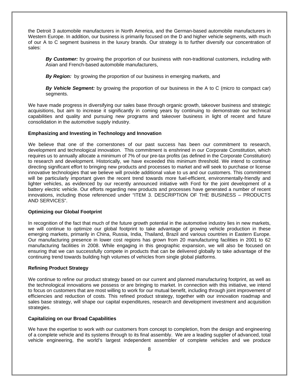the Detroit 3 automobile manufacturers in North America, and the German-based automobile manufacturers in Western Europe. In addition, our business is primarily focused on the D and higher vehicle segments, with much of our A to C segment business in the luxury brands. Our strategy is to further diversify our concentration of sales:

*By Customer:* by growing the proportion of our business with non-traditional customers, including with Asian and French-based automobile manufacturers,

*By Region:* by growing the proportion of our business in emerging markets, and

*By Vehicle Segment:* by growing the proportion of our business in the A to C (micro to compact car) segments.

We have made progress in diversifying our sales base through organic growth, takeover business and strategic acquisitions, but aim to increase it significantly in coming years by continuing to demonstrate our technical capabilities and quality and pursuing new programs and takeover business in light of recent and future consolidation in the automotive supply industry.

### **Emphasizing and Investing in Technology and Innovation**

We believe that one of the cornerstones of our past success has been our commitment to research, development and technological innovation. This commitment is enshrined in our Corporate Constitution, which requires us to annually allocate a minimum of 7% of our pre-tax profits (as defined in the Corporate Constitution) to research and development. Historically, we have exceeded this minimum threshold. We intend to continue directing significant effort to bringing new products and processes to market and will seek to purchase or license innovative technologies that we believe will provide additional value to us and our customers. This commitment will be particularly important given the recent trend towards more fuel-efficient, environmentally-friendly and lighter vehicles, as evidenced by our recently announced initiative with Ford for the joint development of a battery electric vehicle. Our efforts regarding new products and processes have generated a number of recent innovations, including those referenced under "ITEM 3. DESCRIPTION OF THE BUSINESS – PRODUCTS AND SERVICES".

### **Optimizing our Global Footprint**

In recognition of the fact that much of the future growth potential in the automotive industry lies in new markets, we will continue to optimize our global footprint to take advantage of growing vehicle production in these emerging markets, primarily in China, Russia, India, Thailand, Brazil and various countries in Eastern Europe. Our manufacturing presence in lower cost regions has grown from 20 manufacturing facilities in 2001 to 62 manufacturing facilities in 2008. While engaging in this geographic expansion, we will also be focused on ensuring that we can successfully compete in products that can be delivered globally to take advantage of the continuing trend towards building high volumes of vehicles from single global platforms.

### **Refining Product Strategy**

We continue to refine our product strategy based on our current and planned manufacturing footprint, as well as the technological innovations we possess or are bringing to market. In connection with this initiative, we intend to focus on customers that are most willing to work for our mutual benefit, including through joint improvement of efficiencies and reduction of costs. This refined product strategy, together with our innovation roadmap and sales base strategy, will shape our capital expenditures, research and development investment and acquisition strategies.

## **Capitalizing on our Broad Capabilities**

We have the expertise to work with our customers from concept to completion, from the design and engineering of a complete vehicle and its systems through to its final assembly. We are a leading supplier of advanced, total vehicle engineering, the world's largest independent assembler of complete vehicles and we produce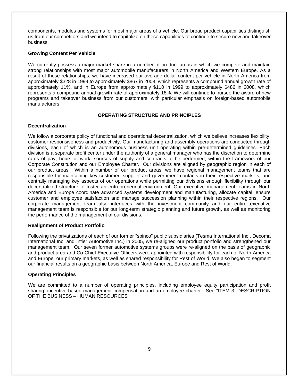components, modules and systems for most major areas of a vehicle. Our broad product capabilities distinguish us from our competitors and we intend to capitalize on these capabilities to continue to secure new and takeover business.

## **Growing Content Per Vehicle**

We currently possess a major market share in a number of product areas in which we compete and maintain strong relationships with most major automobile manufacturers in North America and Western Europe. As a result of these relationships, we have increased our average dollar content per vehicle in North America from approximately \$328 in 1999 to approximately \$867 in 2008, which represents a compound annual growth rate of approximately 11%, and in Europe from approximately \$110 in 1999 to approximately \$486 in 2008, which represents a compound annual growth rate of approximately 18%. We will continue to pursue the award of new programs and takeover business from our customers, with particular emphasis on foreign-based automobile manufacturers.

# **OPERATING STRUCTURE AND PRINCIPLES**

# **Decentralization**

We follow a corporate policy of functional and operational decentralization, which we believe increases flexibility, customer responsiveness and productivity. Our manufacturing and assembly operations are conducted through divisions, each of which is an autonomous business unit operating within pre-determined guidelines. Each division is a separate profit center under the authority of a general manager who has the discretion to determine rates of pay, hours of work, sources of supply and contracts to be performed, within the framework of our Corporate Constitution and our Employee Charter. Our divisions are aligned by geographic region in each of our product areas. Within a number of our product areas, we have regional management teams that are responsible for maintaining key customer, supplier and government contacts in their respective markets, and centrally managing key aspects of our operations while permitting our divisions enough flexibility through our decentralized structure to foster an entrepreneurial environment. Our executive management teams in North America and Europe coordinate advanced systems development and manufacturing, allocate capital, ensure customer and employee satisfaction and manage succession planning within their respective regions. Our corporate management team also interfaces with the investment community and our entire executive management team is responsible for our long-term strategic planning and future growth, as well as monitoring the performance of the management of our divisions.

## **Realignment of Product Portfolio**

Following the privatizations of each of our former "spinco" public subsidiaries (Tesma International Inc., Decoma International Inc. and Intier Automotive Inc.) in 2005, we re-aligned our product portfolio and strengthened our management team. Our seven former automotive systems groups were re-aligned on the basis of geographic and product area and Co-Chief Executive Officers were appointed with responsibility for each of North America and Europe, our primary markets, as well as shared responsibility for Rest of World. We also began to segment our financial results on a geographic basis between North America, Europe and Rest of World.

## **Operating Principles**

We are committed to a number of operating principles, including employee equity participation and profit sharing, incentive-based management compensation and an employee charter. See "ITEM 3. DESCRIPTION OF THE BUSINESS – HUMAN RESOURCES".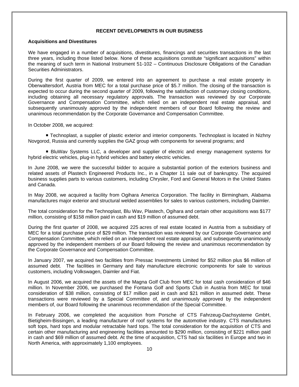### **RECENT DEVELOPMENTS IN OUR BUSINESS**

### **Acquisitions and Divestitures**

We have engaged in a number of acquisitions, divestitures, financings and securities transactions in the last three years, including those listed below. None of these acquisitions constitute "significant acquisitions" within the meaning of such term in National Instrument 51-102 – Continuous Disclosure Obligations of the Canadian Securities Administrators.

During the first quarter of 2009, we entered into an agreement to purchase a real estate property in Oberwaltersdorf, Austria from MEC for a total purchase price of \$5.7 million. The closing of the transaction is expected to occur during the second quarter of 2009, following the satisfaction of customary closing conditions, including obtaining all necessary regulatory approvals. The transaction was reviewed by our Corporate Governance and Compensation Committee, which relied on an independent real estate appraisal, and subsequently unanimously approved by the independent members of our Board following the review and unanimous recommendation by the Corporate Governance and Compensation Committee.

In October 2008, we acquired:

 Technoplast, a supplier of plastic exterior and interior components. Technoplast is located in Nizhny Novgorod, Russia and currently supplies the GAZ group with components for several programs; and

 BluWav Systems LLC, a developer and supplier of electric and energy management systems for hybrid electric vehicles, plug-in hybrid vehicles and battery electric vehicles.

In June 2008, we were the successful bidder to acquire a substantial portion of the exteriors business and related assets of Plastech Engineered Products Inc., in a Chapter 11 sale out of bankruptcy. The acquired business supplies parts to various customers, including Chrysler, Ford and General Motors in the United States and Canada.

In May 2008, we acquired a facility from Ogihara America Corporation. The facility in Birmingham, Alabama manufactures major exterior and structural welded assemblies for sales to various customers, including Daimler.

The total consideration for the Technoplast, Blu Wav, Plastech, Ogihara and certain other acquisitions was \$177 million, consisting of \$158 million paid in cash and \$19 million of assumed debt.

During the first quarter of 2008, we acquired 225 acres of real estate located in Austria from a subsidiary of MEC for a total purchase price of \$29 million. The transaction was reviewed by our Corporate Governance and Compensation Committee, which relied on an independent real estate appraisal, and subsequently unanimously approved by the independent members of our Board following the review and unanimous recommendation by the Corporate Governance and Compensation Committee.

In January 2007, we acquired two facilities from Pressac Investments Limited for \$52 million plus \$6 million of assumed debt. The facilities in Germany and Italy manufacture electronic components for sale to various customers, including Volkswagen, Daimler and Fiat.

In August 2006, we acquired the assets of the Magna Golf Club from MEC for total cash consideration of \$46 million. In November 2006, we purchased the Fontana Golf and Sports Club in Austria from MEC for total consideration of \$38 million, consisting of \$17 million paid in cash and \$21 million in assumed debt. These transactions were reviewed by a Special Committee of, and unanimously approved by the independent members of, our Board following the unanimous recommendation of the Special Committee.

In February 2006, we completed the acquisition from Porsche of CTS Fahrzeug-Dachsysteme GmbH, Bietigheim-Bissingen, a leading manufacturer of roof systems for the automotive industry. CTS manufactures soft tops, hard tops and modular retractable hard tops. The total consideration for the acquisition of CTS and certain other manufacturing and engineering facilities amounted to \$290 million, consisting of \$221 million paid in cash and \$69 million of assumed debt. At the time of acquisition, CTS had six facilities in Europe and two in North America, with approximately 1,100 employees.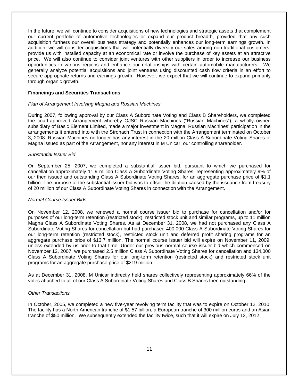In the future, we will continue to consider acquisitions of new technologies and strategic assets that complement our current portfolio of automotive technologies or expand our product breadth, provided that any such acquisition furthers our overall business strategy and potentially enhances our long-term earnings growth. In addition, we will consider acquisitions that will potentially diversify our sales among non-traditional customers, provide us with installed capacity at an economical rate or involve the purchase of key assets at an attractive price. We will also continue to consider joint ventures with other suppliers in order to increase our business opportunities in various regions and enhance our relationships with certain automobile manufacturers. We generally analyze potential acquisitions and joint ventures using discounted cash flow criteria in an effort to secure appropriate returns and earnings growth. However, we expect that we will continue to expand primarily through organic growth.

### **Financings and Securities Transactions**

### *Plan of Arrangement Involving Magna and Russian Machines*

During 2007, following approval by our Class A Subordinate Voting and Class B Shareholders, we completed the court-approved Arrangement whereby OJSC Russian Machines ("Russian Machines"), a wholly owned subsidiary of Basic Element Limited, made a major investment in Magna. Russian Machines' participation in the arrangements it entered into with the Stronach Trust in connection with the Arrangement terminated on October 3, 2008. Russian Machines no longer has any interest in the 20 million Class A Subordinate Voting Shares of Magna issued as part of the Arrangement, nor any interest in M Unicar, our controlling shareholder.

### *Substantial Issuer Bid*

On September 25, 2007, we completed a substantial issuer bid, pursuant to which we purchased for cancellation approximately 11.9 million Class A Subordinate Voting Shares, representing approximately 9% of our then issued and outstanding Class A Subordinate Voting Shares, for an aggregate purchase price of \$1.1 billion. The purpose of the substantial issuer bid was to offset the dilution caused by the issuance from treasury of 20 million of our Class A Subordinate Voting Shares in connection with the Arrangement.

### *Normal Course Issuer Bids*

On November 12, 2008, we renewed a normal course issuer bid to purchase for cancellation and/or for purposes of our long-term retention (restricted stock), restricted stock unit and similar programs, up to 11 million Magna Class A Subordinate Voting Shares. As at December 31, 2008, we had not purchased any Class A Subordinate Voting Shares for cancellation but had purchased 400,000 Class A Subordinate Voting Shares for our long-term retention (restricted stock), restricted stock unit and deferred profit sharing programs for an aggregate purchase price of \$13.7 million. The normal course issuer bid will expire on November 11, 2009, unless extended by us prior to that time. Under our previous normal course issuer bid which commenced on November 12, 2007, we purchased 2.5 million Class A Subordinate Voting Shares for cancellation and 134,000 Class A Subordinate Voting Shares for our long-term retention (restricted stock) and restricted stock unit programs for an aggregate purchase price of \$219 million.

As at December 31, 2008, M Unicar indirectly held shares collectively representing approximately 66% of the votes attached to all of our Class A Subordinate Voting Shares and Class B Shares then outstanding.

### *Other Transactions*

In October, 2005, we completed a new five-year revolving term facility that was to expire on October 12, 2010. The facility has a North American tranche of \$1.57 billion, a European tranche of 300 million euros and an Asian tranche of \$50 million. We subsequently extended the facility twice, such that it will expire on July 12, 2012.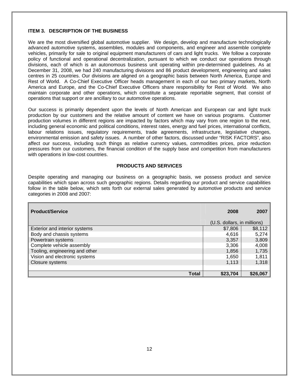## **ITEM 3. DESCRIPTION OF THE BUSINESS**

We are the most diversified global automotive supplier. We design, develop and manufacture technologically advanced automotive systems, assemblies, modules and components, and engineer and assemble complete vehicles, primarily for sale to original equipment manufacturers of cars and light trucks. We follow a corporate policy of functional and operational decentralization, pursuant to which we conduct our operations through divisions, each of which is an autonomous business unit operating within pre-determined guidelines. As at December 31, 2008, we had 240 manufacturing divisions and 86 product development, engineering and sales centres in 25 countries. Our divisions are aligned on a geographic basis between North America, Europe and Rest of World. A Co-Chief Executive Officer heads management in each of our two primary markets, North America and Europe, and the Co-Chief Executive Officers share responsibility for Rest of World. We also maintain corporate and other operations, which constitute a separate reportable segment, that consist of operations that support or are ancillary to our automotive operations.

Our success is primarily dependent upon the levels of North American and European car and light truck production by our customers and the relative amount of content we have on various programs. Customer production volumes in different regions are impacted by factors which may vary from one region to the next, including general economic and political conditions, interest rates, energy and fuel prices, international conflicts, labour relations issues, regulatory requirements, trade agreements, infrastructure, legislative changes, environmental emission and safety issues. A number of other factors, discussed under "RISK FACTORS", also affect our success, including such things as relative currency values, commodities prices, price reduction pressures from our customers, the financial condition of the supply base and competition from manufacturers with operations in low-cost countries.

## **PRODUCTS AND SERVICES**

Despite operating and managing our business on a geographic basis, we possess product and service capabilities which span across such geographic regions. Details regarding our product and service capabilities follow in the table below, which sets forth our external sales generated by automotive products and service categories in 2008 and 2007:

| <b>Product/Service</b>         | 2008                        | 2007     |
|--------------------------------|-----------------------------|----------|
|                                | (U.S. dollars, in millions) |          |
| Exterior and interior systems  | \$7,806                     | \$8,112  |
| Body and chassis systems       | 4,616                       | 5,274    |
| Powertrain systems             | 3,357                       | 3,809    |
| Complete vehicle assembly      | 3,306                       | 4,008    |
| Tooling, engineering and other | 1,856                       | 1,735    |
| Vision and electronic systems  | 1,650                       | 1,811    |
| Closure systems                | 1,113                       | 1,318    |
|                                |                             |          |
| <b>Total</b>                   | \$23,704                    | \$26,067 |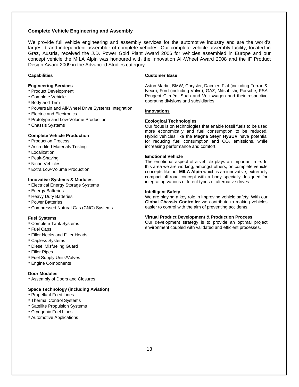### **Complete Vehicle Engineering and Assembly**

We provide full vehicle engineering and assembly services for the automotive industry and are the world's largest brand-independent assembler of complete vehicles. Our complete vehicle assembly facility, located in Graz, Austria, received the J.D. Power Gold Plant Award 2006 for vehicles assembled in Europe and our concept vehicle the MILA Alpin was honoured with the Innovation All-Wheel Award 2008 and the iF Product Design Award 2009 in the Advanced Studies category.

### **Capabilities**

#### **Engineering Services**

- Product Development
- Complete Vehicle
- Body and Trim
- Powertrain and All-Wheel Drive Systems Integration
- Electric and Electronics
- Prototype and Low-Volume Production
- Chassis Systems

#### **Complete Vehicle Production**

- **Production Process**
- Accredited Materials Testing
- Localization
- Peak-Shaving
- Niche Vehicles
- Extra Low-Volume Production

#### **Innovative Systems & Modules**

- Electrical Energy Storage Systems
- **Energy Batteries**
- **Heavy Duty Batteries**
- Power Batteries
- Compressed Natural Gas (CNG) Systems

#### **Fuel Systems**

- Complete Tank Systems
- Fuel Caps
- Filler Necks and Filler Heads
- Capless Systems
- Diesel Misfueling Guard
- Filler Pipes
- Fuel Supply Units/Valves
- Engine Components

### **Door Modules**

Assembly of Doors and Closures

#### **Space Technology (including Aviation)**

- Propellant Feed Lines
- Thermal Control Systems
- **Satellite Propulsion Systems**
- Cryogenic Fuel Lines
- Automotive Applications

#### **Customer Base**

Aston Martin, BMW, Chrysler, Daimler, Fiat (including Ferrari & Iveco), Ford (including Volvo), GAZ, Mitsubishi, Porsche, PSA Peugeot Citroën, Saab and Volkswagen and their respective operating divisions and subsidiaries.

#### **Innovations**

#### **Ecological Technologies**

Our focus is on technologies that enable fossil fuels to be used more economically and fuel consumption to be reduced. Hybrid vehicles like the **Magna Steyr HySUV** have potential for reducing fuel consumption and  $CO<sub>2</sub>$  emissions, while increasing performance and comfort.

#### **Emotional Vehicle**

The emotional aspect of a vehicle plays an important role. In this area we are working, amongst others, on complete vehicle concepts like our **MILA Alpin** which is an innovative, extremely compact off-road concept with a body specially designed for integrating various different types of alternative drives.

#### **Intelligent Safety**

We are playing a key role in improving vehicle safety. With our **Global Chassis Controller** we contribute to making vehicles easier to control with the aim of preventing accidents.

### **Virtual Product Development & Production Process**

Our development strategy is to provide an optimal project environment coupled with validated and efficient processes.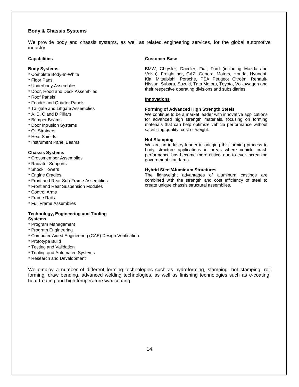### **Body & Chassis Systems**

We provide body and chassis systems, as well as related engineering services, for the global automotive industry.

#### **Capabilities**

#### **Body Systems**

- Complete Body-In-White
- Floor Pans
- Underbody Assemblies
- Door, Hood and Deck Assemblies
- Roof Panels
- Fender and Quarter Panels
- Tailgate and Liftgate Assemblies
- A, B, C and D Pillars
- Bumper Beams
- **Door Intrusion Systems**
- Oil Strainers
- **Heat Shields**
- **Instrument Panel Beams**

#### **Chassis Systems**

- Crossmember Assemblies
- Radiator Supports
- Shock Towers
- Engine Cradles
- Front and Rear Sub-Frame Assemblies
- Front and Rear Suspension Modules
- Control Arms
- Frame Rails
- Full Frame Assemblies

### **Technology, Engineering and Tooling Systems**

- Program Management
- Program Engineering
- Computer-Aided Engineering (CAE) Design Verification
- Prototype Build
- Testing and Validation
- Tooling and Automated Systems
- Research and Development

We employ a number of different forming technologies such as hydroforming, stamping, hot stamping, roll forming, draw bending, advanced welding technologies, as well as finishing technologies such as e-coating, heat treating and high temperature wax coating.

#### **Customer Base**

BMW, Chrysler, Daimler, Fiat, Ford (including Mazda and Volvo), Freightliner, GAZ, General Motors, Honda, Hyundai-Kia, Mitsubishi, Porsche, PSA Peugeot Citroën, Renault-Nissan, Subaru, Suzuki, Tata Motors, Toyota, Volkswagen and their respective operating divisions and subsidiaries.

#### **Innovations**

#### **Forming of Advanced High Strength Steels**

We continue to be a market leader with innovative applications for advanced high strength materials, focusing on forming materials that can help optimize vehicle performance without sacrificing quality, cost or weight.

#### **Hot Stamping**

We are an industry leader in bringing this forming process to body structure applications in areas where vehicle crash performance has become more critical due to ever-increasing government standards.

#### **Hybrid Steel/Aluminum Structures**

The lightweight advantages of aluminum castings are combined with the strength and cost efficiency of steel to create unique chassis structural assemblies.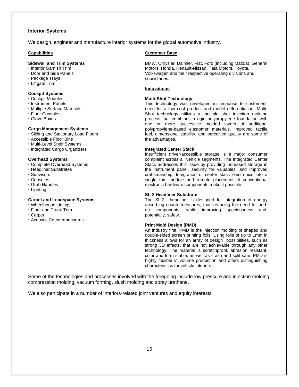### **Interior Systems**

We design, engineer and manufacture interior systems for the global automotive industry.

#### **Capabilities**

#### **Sidewall and Trim Systems**

- **· Interior Garnish Trim**
- Door and Side Panels
- Package Trays
- Liftgate Trim

### **Cockpit Systems**

- Cockpit Modules
- **· Instrument Panels**
- Multiple Surface Materials
- Floor Consoles
- Glove Boxes

#### **Cargo Management Systems**

- Sliding and Stationary Load Floors
- Accessible Floor Bins
- Multi-Level Shelf Systems
- Integrated Cargo Organizers

#### **Overhead Systems**

- Complete Overhead Systems
- Headliner Substrates
- Sunvisors
- Consoles
- Grab Handles
- Lighting

#### **Carpet and Loadspace Systems**

- Wheelhouse Linings
- Floor and Trunk Trim
- Carpet
- Acoustic Countermeasures

#### **Customer Base**

BMW, Chrysler, Daimler, Fiat, Ford (including Mazda), General Motors, Honda, Renault-Nissan, Tata Motors, Toyota, Volkswagen and their respective operating divisions and subsidiaries.

#### **Innovations**

#### **Multi-Shot Technology**

This technology was developed in response to customers' need for a low cost product and model differentiation. Multi-Shot technology utilizes a multiple shot injection molding process that combines a rigid polypropylene foundation with one or more successive molded layers of additional polypropylene-based elastomer materials. Improved tactile feel, dimensional stability, and perceived quality are some of the advantages.

#### **Integrated Center Stack**

Insufficient driver-accessible storage is a major consumer complaint across all vehicle segments. The Integrated Center Stack addresses this issue by providing increased storage in the instrument panel, security for valuables, and improved craftsmanship. Integration of center stack electronics into a single trim module and remote placement of conventional electronic hardware components make it possible.

#### **SL-2 Headliner Substrate**

The SL-2 headliner is designed for integration of energy absorbing countermeasures, thus reducing the need for addon components, while improving spaciousness and, potentially, safety.

#### **Print Mold Design (PMD)**

An industry first, PMD is the injection molding of shaped and double-sided screen printing foils. Using foils of up to 1mm in thickness allows for an array of design possibilities, such as strong 3D effects, that are not achievable through any other technology. The material is scratchproof, abrasion resistant, color and form stable, as well as crash and split safe. PMD is highly flexible in volume production and offers distinguishing characteristics for vehicle interiors.

Some of the technologies and processes involved with the foregoing include low pressure and injection molding, compression molding, vacuum forming, slush molding and spray urethane.

We also participate in a number of interiors-related joint ventures and equity interests.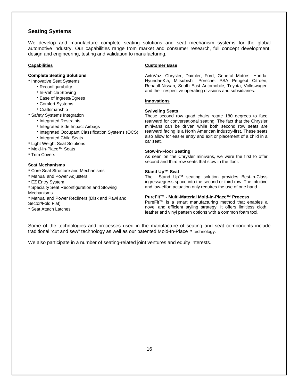# **Seating Systems**

We develop and manufacture complete seating solutions and seat mechanism systems for the global automotive industry. Our capabilities range from market and consumer research, full concept development, design and engineering, testing and validation to manufacturing.

### **Capabilities**

### **Complete Seating Solutions**

**• Innovative Seat Systems** 

- Reconfigurability
- In-Vehicle Stowing
- **Ease of Ingress/Egress**
- Comfort Systems
- Craftsmanship
- **Safety Systems Integration** 
	- **· Integrated Restraints**
	- **Integrated Side Impact Airbags**
	- Integrated Occupant Classification Systems (OCS) **• Integrated Child Seats**
- Light Weight Seat Solutions
- Mold-In-Place™ Seats
- **Trim Covers**

### **Seat Mechanisms**

- Core Seat Structure and Mechanisms
- Manual and Power Adjusters
- EZ Entry System
- Specialty Seat Reconfiguration and Stowing
- Mechanisms
- Manual and Power Recliners (Disk and Pawl and
- Sector/Fold Flat)
- Seat Attach Latches

#### **Customer Base**

AvtoVaz, Chrysler, Daimler, Ford, General Motors, Honda, Hyundai-Kia, Mitsubishi, Porsche, PSA Peugeot Citroën, Renault-Nissan, South East Automobile, Toyota, Volkswagen and their respective operating divisions and subsidiaries.

#### **Innovations**

#### **Swiveling Seats**

These second row quad chairs rotate 180 degrees to face rearward for conversational seating. The fact that the Chrysler minivans can be driven while both second row seats are rearward facing is a North American industry-first. These seats also allow for easier entry and exit or placement of a child in a car seat.

#### **Stow-in-Floor Seating**

As seen on the Chrysler minivans, we were the first to offer second and third row seats that stow in the floor.

#### **Stand Up™ Seat**

The Stand Up™ seating solution provides Best-in-Class ingress/egress space into the second or third row. The intuitive and low-effort actuation only requires the use of one hand.

### **PureFit™ - Multi-Material Mold-In-Place™ Process**

PureFit™ is a smart manufacturing method that enables a novel and efficient styling strategy. It offers limitless cloth, leather and vinyl pattern options with a common foam tool.

Some of the technologies and processes used in the manufacture of seating and seat components include traditional "cut and sew" technology as well as our patented Mold-In-Place™ technology.

We also participate in a number of seating-related joint ventures and equity interests.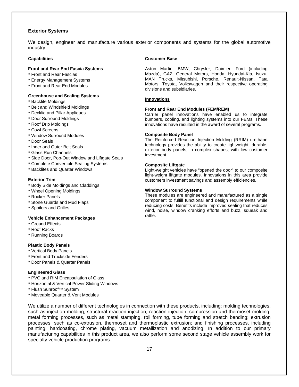### **Exterior Systems**

We design, engineer and manufacture various exterior components and systems for the global automotive industry.

### **Capabilities**

#### **Front and Rear End Fascia Systems**

- Front and Rear Fascias
- Energy Management Systems
- Front and Rear End Modules

#### **Greenhouse and Sealing Systems**

- **Backlite Moldings**
- **Belt and Windshield Moldings**
- Decklid and Pillar Appliques
- Door Surround Moldings
- Roof Drip Moldings
- Cowl Screens
- Window Surround Modules
- Door Seals
- **.** Inner and Outer Belt Seals
- Glass Run Channels
- Side Door, Pop-Out Window and Liftgate Seals
- Complete Convertible Sealing Systems
- **Backlites and Quarter Windows**

### **Exterior Trim**

- **Body Side Moldings and Claddings**
- Wheel Opening Moldings
- Rocker Panels
- Stone Guards and Mud Flaps
- Spoilers and Grilles

#### **Vehicle Enhancement Packages**

- Ground Effects
- Roof Racks
- Running Boards

### **Plastic Body Panels**

- Vertical Body Panels
- **Front and Truckside Fenders**
- Door Panels & Quarter Panels

#### **Engineered Glass**

- PVC and RIM Encapsulation of Glass
- Horizontal & Vertical Power Sliding Windows
- Flush Sunroof™ System
- Moveable Quarter & Vent Modules

We utilize a number of different technologies in connection with these products, including: molding technologies, such as injection molding, structural reaction injection, reaction injection, compression and thermoset molding; metal forming processes, such as metal stamping, roll forming, tube forming and stretch bending; extrusion processes, such as co-extrusion, thermoset and thermoplastic extrusion; and finishing processes, including painting, hardcoating, chrome plating, vacuum metallization and anodizing. In addition to our primary manufacturing capabilities in this product area, we also perform some second stage vehicle assembly work for specialty vehicle production programs.

#### **Customer Base**

Aston Martin, BMW, Chrysler, Daimler, Ford (including Mazda), GAZ, General Motors, Honda, Hyundai-Kia, Isuzu, MAN Trucks, Mitsubishi, Porsche, Renault-Nissan, Tata Motors, Toyota, Volkswagen and their respective operating divisions and subsidiaries.

#### **Innovations**

#### **Front and Rear End Modules (FEM/REM)**

Carrier panel innovations have enabled us to integrate bumpers, cooling, and lighting systems into our FEMs. These innovations have resulted in the award of several programs.

#### **Composite Body Panel**

The Reinforced Reaction Injection Molding (RRIM) urethane technology provides the ability to create lightweight, durable, exterior body panels, in complex shapes, with low customer investment.

#### **Composite Liftgate**

Light-weight vehicles have "opened the door" to our composite light-weight liftgate modules. Innovations in this area provide customers investment savings and assembly efficiencies.

#### **Window Surround Systems**

These modules are engineered and manufactured as a single component to fulfill functional and design requirements while reducing costs. Benefits include improved sealing that reduces wind, noise, window cranking efforts and buzz, squeak and rattle.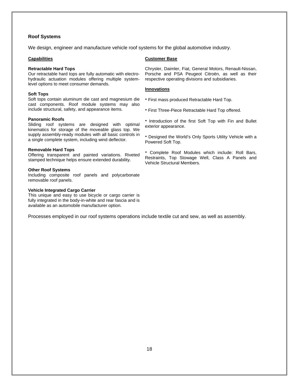### **Roof Systems**

We design, engineer and manufacture vehicle roof systems for the global automotive industry.

#### **Capabilities**

#### **Retractable Hard Tops**

Our retractable hard tops are fully automatic with electrohydraulic actuation modules offering multiple systemlevel options to meet consumer demands.

#### **Soft Tops**

Soft tops contain aluminum die cast and magnesium die cast components. Roof module systems may also include structural, safety, and appearance items.

#### **Panoramic Roofs**

Sliding roof systems are designed with optimal kinematics for storage of the moveable glass top. We supply assembly-ready modules with all basic controls in a single complete system, including wind deflector.

#### **Removable Hard Tops**

Offering transparent and painted variations. Riveted stamped technique helps ensure extended durability.

#### **Other Roof Systems**

Including composite roof panels and polycarbonate removable roof panels.

#### **Vehicle Integrated Cargo Carrier**

This unique and easy to use bicycle or cargo carrier is fully integrated in the body-in-white and rear fascia and is available as an automobile manufacturer option.

### Processes employed in our roof systems operations include textile cut and sew, as well as assembly.

### **Customer Base**

Chrysler, Daimler, Fiat, General Motors, Renault-Nissan, Porsche and PSA Peugeot Citroën, as well as their respective operating divisions and subsidiaries.

### **Innovations**

First mass produced Retractable Hard Top.

- First Three-Piece Retractable Hard Top offered.
- **Introduction of the first Soft Top with Fin and Bullet** exterior appearance.

 Designed the World's Only Sports Utility Vehicle with a Powered Soft Top.

 Complete Roof Modules which include: Roll Bars, Restraints, Top Stowage Well, Class A Panels and Vehicle Structural Members.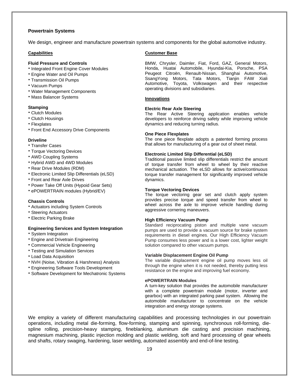### **Powertrain Systems**

We design, engineer and manufacture powertrain systems and components for the global automotive industry.

#### **Capabilities**

#### **Fluid Pressure and Controls**

- **Integrated Front Engine Cover Modules**
- Engine Water and Oil Pumps
- Transmission Oil Pumps
- Vacuum Pumps
- Water Management Components
- Mass Balancer Systems

#### **Stamping**

- Clutch Modules
- Clutch Housings
- Flexplates
- **Front End Accessory Drive Components**

#### **Driveline**

- Transfer Cases
- **Torque Vectoring Devices**
- AWD Coupling Systems
- Hybrid AWD and 4WD Modules
- Rear Drive Modules (RDM)
- Electronic Limited Slip Differentials (eLSD)
- Front and Rear Axle Drives
- Power Take Off Units (Hypoid Gear Sets)
- ePOWERTRAIN modules (Hybrid/EV)

#### **Chassis Controls**

- Actuators including System Controls
- **Steering Actuators**
- Electric Parking Brake

#### **Engineering Services and System Integration**

- System Integration
- **Engine and Drivetrain Engineering**
- Commercial Vehicle Engineering
- Testing and Simulation Services
- Load Data Acquisition
- NVH (Noise, Vibration & Harshness) Analysis
- Engineering Software Tools Development
- **Software Development for Mechatronic Systems**

#### **Customer Base**

BMW, Chrysler, Daimler, Fiat, Ford, GAZ, General Motors, Honda, Huatai Automobile, Hyundai-Kia, Porsche, PSA Peugeot Citroën, Renault-Nissan, Shanghai Automotive, SsangYong Motors, Tata Motors, Tianjin FAW Xiali Automotive, Toyota, Volkswagen and their respective operating divisions and subsidiaries.

#### **Innovations**

#### **Electric Rear Axle Steering**

The Rear Active Steering application enables vehicle developers to reinforce driving safety while improving vehicle dynamics and reducing turning radius.

#### **One Piece Flexplates**

The one piece flexplate adopts a patented forming process that allows for manufacturing of a gear out of sheet metal.

#### **Electronic Limited Slip Differential (eLSD)**

Traditional passive limited slip differentials restrict the amount of torque transfer from wheel to wheel by their reactive mechanical actuation. The eLSD allows for active/continuous torque transfer management for significantly improved vehicle dynamics.

#### **Torque Vectoring Devices**

The torque vectoring gear set and clutch apply system provides precise torque and speed transfer from wheel to wheel across the axle to improve vehicle handling during aggressive cornering maneuvers.

#### **High Efficiency Vacuum Pump**

Standard reciprocating piston and multiple vane vacuum pumps are used to provide a vacuum source for brake system requirements in diesel engines. Our High Efficiency Vacuum Pump consumes less power and is a lower cost, lighter weight solution compared to other vacuum pumps.

#### **Variable Displacement Engine Oil Pump**

The variable displacement engine oil pump moves less oil through the engine when it is not needed, thereby putting less resistance on the engine and improving fuel economy.

### **ePOWERTRAIN Modules**

A turn-key solution that provides the automobile manufacturer with a complete powertrain module (motor, inverter and gearbox) with an integrated parking pawl system. Allowing the automobile manufacturer to concentrate on the vehicle integration and energy storage systems.

We employ a variety of different manufacturing capabilities and processing technologies in our powertrain operations, including metal die-forming, flow-forming, stamping and spinning, synchronous roll-forming, diespline rolling, precision-heavy stamping, fineblanking, aluminum die casting and precision machining, magnesium machining, plastic injection molding and plastic welding, soft and hard processing of gear wheels and shafts, rotary swaging, hardening, laser welding, automated assembly and end-of-line testing.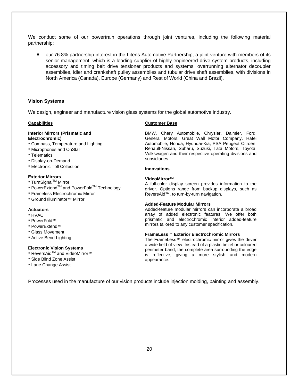We conduct some of our powertrain operations through joint ventures, including the following material partnership:

 our 76.8% partnership interest in the Litens Automotive Partnership, a joint venture with members of its senior management, which is a leading supplier of highly-engineered drive system products, including accessory and timing belt drive tensioner products and systems, overrunning alternator decoupler assemblies, idler and crankshaft pulley assemblies and tubular drive shaft assemblies, with divisions in North America (Canada), Europe (Germany) and Rest of World (China and Brazil).

## **Vision Systems**

We design, engineer and manufacture vision glass systems for the global automotive industry.

#### **Capabilities**

#### **Interior Mirrors (Prismatic and Electrochromic)**

- Compass, Temperature and Lighting
- Microphones and OnStar
- Telematics
- Display-on-Demand
- Electronic Toll Collection

#### **Exterior Mirrors**

- TurnSignal<sup>™</sup> Mirror
- PowerExtend<sup>™</sup> and PowerFold™ Technology
- Frameless Electrochromic Mirror
- Ground Illuminator™ Mirror

### **Actuators**

- HVAC
- PowerFold™
- PowerExtend™
- Glass Movement
- Active Bend Lighting

### **Electronic Vision Systems**

- ReversAid<sup>™</sup> and VideoMirror<sup>™</sup>
- Side Blind Zone Assist
- Lane Change Assist

#### **Customer Base**

BMW, Chery Automobile, Chrysler, Daimler, Ford, General Motors, Great Wall Motor Company, Hafei Automobile, Honda, Hyundai-Kia, PSA Peugeot Citroën, Renault-Nissan, Subaru, Suzuki, Tata Motors, Toyota, Volkswagen and their respective operating divisions and subsidiaries.

#### **Innovations**

#### **VideoMirror™**

A full-color display screen provides information to the driver. Options range from backup displays, such as ReversAid™, to turn-by-turn navigation.

#### **Added-Feature Modular Mirrors**

Added-feature modular mirrors can incorporate a broad array of added electronic features. We offer both prismatic and electrochromic interior added-feature mirrors tailored to any customer specification.

#### **FrameLess™ Exterior Electrochromic Mirrors**

The FrameLess™ electrochromic mirror gives the driver a wide field of view. Instead of a plastic bezel or coloured perimeter band, the complete area surrounding the edge is reflective, giving a more stylish and modern appearance.

Processes used in the manufacture of our vision products include injection molding, painting and assembly.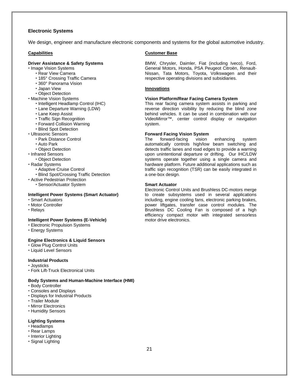### **Electronic Systems**

We design, engineer and manufacture electronic components and systems for the global automotive industry.

#### **Capabilities**

### **Driver Assistance & Safety Systems**

- **· Image Vision Systems** 
	- Rear View Camera
	- 185° Crossing Traffic Camera
	- 360° Panorama Vision
	- Japan View
	- Object Detection
- Machine Vision Systems
	- Intelligent Headlamp Control (IHC)
	- Lane Departure Warning (LDW)
	- Lane Keep Assist
	- Traffic Sign Recognition
	- Forward Collision Warning
	- Blind Spot Detection
- Ultrasonic Sensors
	- Park Distance Control
	- Auto Park
	- Object Detection
- Infrared Sensors
- Object Detection
- Radar Systems
	- Adaptive Cruise Control
	- Blind Spot/Crossing Traffic Detection
- Active Pedestrian Protection
	- Sensor/Actuator System

### **Intelligent Power Systems (Smart Actuator)**

- Smart Actuators
- Motor Controller
- Relays

### **Intelligent Power Systems (E-Vehicle)**

- Electronic Propulsion Systems
- Energy Systems

#### **Engine Electronics & Liquid Sensors**

- Glow Plug Control Units
- Liquid Level Sensors

### **Industrial Products**

- Joysticks
- Fork Lift-Truck Electronical Units

#### **Body Systems and Human-Machine Interface (HMI)**

- Body Controller
- Consoles and Displays
- Displays for Industrial Products
- Trailer Module
- Mirror Electronics
- Humidity Sensors

#### **Lighting Systems**

- Headlamps
- Rear Lamps
- Interior Lighting
- Signal Lighting

### **Customer Base**

BMW, Chrysler, Daimler, Fiat (including Iveco), Ford, General Motors, Honda, PSA Peugeot Citroën, Renault-Nissan, Tata Motors, Toyota, Volkswagen and their respective operating divisions and subsidiaries.

#### **Innovations**

#### **Vision Platform/Rear Facing Camera System**

This rear facing camera system assists in parking and reverse direction visibility by reducing the blind zone behind vehicles. It can be used in combination with our VideoMirror™, center control display or navigation system.

#### **Forward Facing Vision System**

The forward-facing vision enhancing system automatically controls high/low beam switching and detects traffic lanes and road edges to provide a warning upon unintentional departure or drifting. Our IHC/LDW systems operate together using a single camera and hardware platform. Future additional applications such as traffic sign recognition (TSR) can be easily integrated in a one-box design.

#### **Smart Actuator**

Electronic Control Units and Brushless DC-motors merge to create subsystems used in several applications including, engine cooling fans, electronic parking brakes, power liftgates, transfer case control modules. The Brushless DC Cooling Fan is composed of a high efficiency compact motor with integrated sensorless motor drive electronics.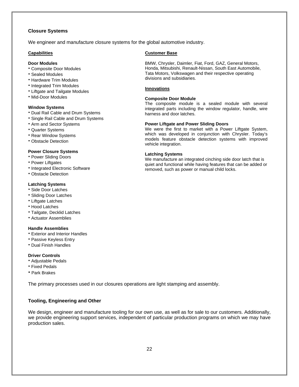### **Closure Systems**

We engineer and manufacture closure systems for the global automotive industry.

#### **Capabilities**

#### **Door Modules**

- Composite Door Modules
- Sealed Modules
- **Hardware Trim Modules**
- Integrated Trim Modules
- Liftgate and Tailgate Modules
- Mid-Door Modules

### **Window Systems**

- Dual Rail Cable and Drum Systems
- Single Rail Cable and Drum Systems
- Arm and Sector Systems
- Quarter Systems
- **Rear Window Systems**
- Obstacle Detection

#### **Power Closure Systems**

- Power Sliding Doors
- **Power Liftgates**
- Integrated Electronic Software
- Obstacle Detection

### **Latching Systems**

- Side Door Latches
- Sliding Door Latches
- Liftgate Latches
- Hood Latches
- Tailgate, Decklid Latches
- **Actuator Assemblies**

### **Handle Assemblies**

- Exterior and Interior Handles
- **Passive Keyless Entry**
- Dual Finish Handles

### **Driver Controls**

- Adjustable Pedals
- Fixed Pedals
- Park Brakes

The primary processes used in our closures operations are light stamping and assembly.

## **Tooling, Engineering and Other**

We design, engineer and manufacture tooling for our own use, as well as for sale to our customers. Additionally, we provide engineering support services, independent of particular production programs on which we may have production sales.

#### **Customer Base**

BMW, Chrysler, Daimler, Fiat, Ford, GAZ, General Motors, Honda, Mitsubishi, Renault-Nissan, South East Automobile, Tata Motors, Volkswagen and their respective operating divisions and subsidiaries.

#### **Innovations**

#### **Composite Door Module**

The composite module is a sealed module with several integrated parts including the window regulator, handle, wire harness and door latches.

#### **Power Liftgate and Power Sliding Doors**

We were the first to market with a Power Liftgate System, which was developed in conjunction with Chrysler. Today's models feature obstacle detection systems with improved vehicle integration.

#### **Latching Systems**

We manufacture an integrated cinching side door latch that is quiet and functional while having features that can be added or removed, such as power or manual child locks.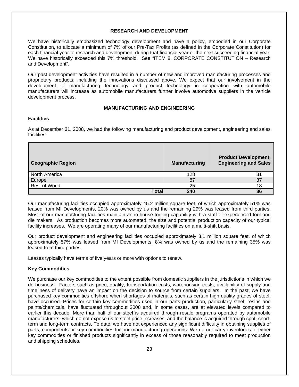# **RESEARCH AND DEVELOPMENT**

We have historically emphasized technology development and have a policy, embodied in our Corporate Constitution, to allocate a minimum of 7% of our Pre-Tax Profits (as defined in the Corporate Constitution) for each financial year to research and development during that financial year or the next succeeding financial year. We have historically exceeded this 7% threshold. See "ITEM 8, CORPORATE CONSTITUTION – Research and Development".

Our past development activities have resulted in a number of new and improved manufacturing processes and proprietary products, including the innovations discussed above. We expect that our involvement in the development of manufacturing technology and product technology in cooperation with automobile manufacturers will increase as automobile manufacturers further involve automotive suppliers in the vehicle development process.

# **MANUFACTURING AND ENGINEERING**

# **Facilities**

As at December 31, 2008, we had the following manufacturing and product development, engineering and sales facilities:

| Geographic Region       |       | <b>Manufacturing</b> | <b>Product Development,</b><br><b>Engineering and Sales</b> |
|-------------------------|-------|----------------------|-------------------------------------------------------------|
| North America           |       | 128                  | 31                                                          |
| Europe<br>Rest of World |       | 87                   | 37                                                          |
|                         |       | 25                   | 18                                                          |
|                         | Total | 240                  | 86                                                          |

Our manufacturing facilities occupied approximately 45.2 million square feet, of which approximately 51% was leased from MI Developments, 20% was owned by us and the remaining 29% was leased from third parties. Most of our manufacturing facilities maintain an in-house tooling capability with a staff of experienced tool and die makers. As production becomes more automated, the size and potential production capacity of our typical facility increases. We are operating many of our manufacturing facilities on a multi-shift basis.

Our product development and engineering facilities occupied approximately 3.1 million square feet, of which approximately 57% was leased from MI Developments, 8% was owned by us and the remaining 35% was leased from third parties.

Leases typically have terms of five years or more with options to renew.

## **Key Commodities**

We purchase our key commodities to the extent possible from domestic suppliers in the jurisdictions in which we do business. Factors such as price, quality, transportation costs, warehousing costs, availability of supply and timeliness of delivery have an impact on the decision to source from certain suppliers. In the past, we have purchased key commodities offshore when shortages of materials, such as certain high quality grades of steel, have occurred. Prices for certain key commodities used in our parts production, particularly steel, resins and paints/chemicals, have fluctuated throughout 2008 and, in some cases, are at elevated levels compared to earlier this decade. More than half of our steel is acquired through resale programs operated by automobile manufacturers, which do not expose us to steel price increases, and the balance is acquired through spot, shortterm and long-term contracts. To date, we have not experienced any significant difficulty in obtaining supplies of parts, components or key commodities for our manufacturing operations. We do not carry inventories of either key commodities or finished products significantly in excess of those reasonably required to meet production and shipping schedules.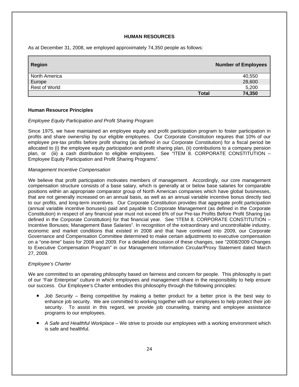## **HUMAN RESOURCES**

As at December 31, 2008, we employed approximately 74,350 people as follows:

| <b>Region</b> |       | <b>Number of Employees</b> |
|---------------|-------|----------------------------|
| North America |       | 40,550                     |
| Europe        |       | 28,600                     |
| Rest of World |       | 5,200                      |
|               | Total | 74,350                     |

### **Human Resource Principles**

### *Employee Equity Participation and Profit Sharing Program*

Since 1975, we have maintained an employee equity and profit participation program to foster participation in profits and share ownership by our eligible employees. Our Corporate Constitution requires that 10% of our employee pre-tax profits before profit sharing (as defined in our Corporate Constitution) for a fiscal period be allocated to (i) the employee equity participation and profit sharing plan, (ii) contributions to a company pension plan, or (iii) a cash distribution to eligible employees. See "ITEM 8. CORPORATE CONSTITUTION – Employee Equity Participation and Profit Sharing Programs".

### *Management Incentive Compensation*

We believe that profit participation motivates members of management. Accordingly, our core management compensation structure consists of a base salary, which is generally at or below base salaries for comparable positions within an appropriate comparator group of North American companies which have global businesses, that are not generally increased on an annual basis, as well as an annual variable incentive bonus directly tied to our profits, and long-term incentives. Our Corporate Constitution provides that aggregate profit participation (annual variable incentive bonuses) paid and payable to Corporate Management (as defined in the Corporate Constitution) in respect of any financial year must not exceed 6% of our Pre-tax Profits Before Profit Sharing (as defined in the Corporate Constitution) for that financial year. See "ITEM 8. CORPORATE CONSTITUTION – Incentive Bonuses; Management Base Salaries". In recognition of the extraordinary and uncontrollable industry, economic and market conditions that existed in 2008 and that have continued into 2009, our Corporate Governance and Compensation Committee determined to make certain adjustments to executive compensation on a "one-time" basis for 2008 and 2009. For a detailed discussion of these changes, see "2008/2009 Changes to Executive Compensation Program" in our Management Information Circular/Proxy Statement dated March 27, 2009.

## *Employee's Charter*

We are committed to an operating philosophy based on fairness and concern for people. This philosophy is part of our "Fair Enterprise" culture in which employees and management share in the responsibility to help ensure our success. Our Employee's Charter embodies this philosophy through the following principles:

- **Job Security Being competitive by making a better product for a better price is the best way to** enhance job security. We are committed to working together with our employees to help protect their job security. To assist in this regard, we provide job counseling, training and employee assistance programs to our employees.
- *A Safe and Healthful Workplace* We strive to provide our employees with a working environment which is safe and healthful.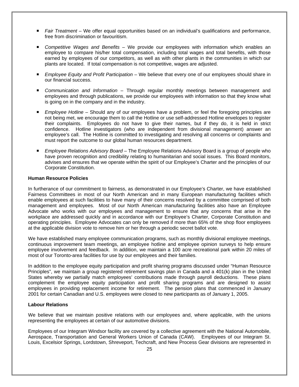- *Fair Treatment* We offer equal opportunities based on an individual's qualifications and performance, free from discrimination or favouritism.
- Competitive Wages and Benefits We provide our employees with information which enables an employee to compare his/her total compensation, including total wages and total benefits, with those earned by employees of our competitors, as well as with other plants in the communities in which our plants are located. If total compensation is not competitive, wages are adjusted.
- *Employee Equity and Profit Participation* We believe that every one of our employees should share in our financial success.
- *Communication and Information –* Through regular monthly meetings between management and employees and through publications, we provide our employees with information so that they know what is going on in the company and in the industry.
- *Employee Hotline –* Should any of our employees have a problem, or feel the foregoing principles are not being met, we encourage them to call the Hotline or use self-addressed Hotline envelopes to register their complaints. Employees do not have to give their names, but if they do, it is held in strict confidence. Hotline investigators (who are independent from divisional management) answer an employee's call. The Hotline is committed to investigating and resolving all concerns or complaints and must report the outcome to our global human resources department.
- *Employee Relations Advisory Board* The Employee Relations Advisory Board is a group of people who have proven recognition and credibility relating to humanitarian and social issues. This Board monitors, advises and ensures that we operate within the spirit of our Employee's Charter and the principles of our Corporate Constitution.

### **Human Resource Policies**

In furtherance of our commitment to fairness, as demonstrated in our Employee's Charter, we have established Fairness Committees in most of our North American and in many European manufacturing facilities which enable employees at such facilities to have many of their concerns resolved by a committee comprised of both management and employees. Most of our North American manufacturing facilities also have an Employee Advocate who works with our employees and management to ensure that any concerns that arise in the workplace are addressed quickly and in accordance with our Employee's Charter, Corporate Constitution and operating principles. Employee Advocates can only be removed if more than 65% of the shop floor employees at the applicable division vote to remove him or her through a periodic secret ballot vote.

We have established many employee communication programs, such as monthly divisional employee meetings, continuous improvement team meetings, an employee hotline and employee opinion surveys to help ensure employee involvement and feedback. In addition, we maintain a 100 acre recreational park within 20 miles of most of our Toronto-area facilities for use by our employees and their families.

In addition to the employee equity participation and profit sharing programs discussed under "Human Resource Principles", we maintain a group registered retirement savings plan in Canada and a 401(k) plan in the United States whereby we partially match employees' contributions made through payroll deductions. These plans complement the employee equity participation and profit sharing programs and are designed to assist employees in providing replacement income for retirement. The pension plans that commenced in January 2001 for certain Canadian and U.S. employees were closed to new participants as of January 1, 2005.

## **Labour Relations**

We believe that we maintain positive relations with our employees and, where applicable, with the unions representing the employees at certain of our automotive divisions.

Employees of our Integram Windsor facility are covered by a collective agreement with the National Automobile, Aerospace, Transportation and General Workers Union of Canada (CAW). Employees of our Integram St. Louis, Excelsior Springs, Lordstown, Shreveport, Techcraft, and New Process Gear divisions are represented in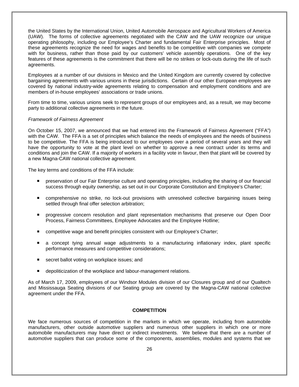the United States by the International Union, United Automobile Aerospace and Agricultural Workers of America (UAW). The forms of collective agreements negotiated with the CAW and the UAW recognize our unique operating philosophy, including our Employee's Charter and fundamental Fair Enterprise principles. Most of these agreements recognize the need for wages and benefits to be competitive with companies we compete with for business, rather than those paid by our customers' vehicle assembly operations. One of the key features of these agreements is the commitment that there will be no strikes or lock-outs during the life of such agreements.

Employees at a number of our divisions in Mexico and the United Kingdom are currently covered by collective bargaining agreements with various unions in these jurisdictions. Certain of our other European employees are covered by national industry-wide agreements relating to compensation and employment conditions and are members of in-house employees' associations or trade unions.

From time to time, various unions seek to represent groups of our employees and, as a result, we may become party to additional collective agreements in the future.

### *Framework of Fairness Agreement*

On October 15, 2007, we announced that we had entered into the Framework of Fairness Agreement ("FFA") with the CAW. The FFA is a set of principles which balance the needs of employees and the needs of business to be competitive. The FFA is being introduced to our employees over a period of several years and they will have the opportunity to vote at the plant level on whether to approve a new contract under its terms and conditions and join the CAW. If a majority of workers in a facility vote in favour, then that plant will be covered by a new Magna-CAW national collective agreement.

The key terms and conditions of the FFA include:

- **PEDED FIRE 2018 THE PRESE THE STARK IS ENTERED FIRE IS EXE** preservation of our financial preservation of our financial success through equity ownership, as set out in our Corporate Constitution and Employee's Charter;
- comprehensive no strike, no lock-out provisions with unresolved collective bargaining issues being settled through final offer selection arbitration;
- **Perogressive concern resolution and plant representation mechanisms that preserve our Open Door** Process, Fairness Committees, Employee Advocates and the Employee Hotline;
- competitive wage and benefit principles consistent with our Employee's Charter;
- a concept tying annual wage adjustments to a manufacturing inflationary index, plant specific performance measures and competitive considerations;
- secret ballot voting on workplace issues; and
- depoliticization of the workplace and labour-management relations.

As of March 17, 2009, employees of our Windsor Modules division of our Closures group and of our Qualtech and Mississauga Seating divisions of our Seating group are covered by the Magna-CAW national collective agreement under the FFA.

### **COMPETITION**

We face numerous sources of competition in the markets in which we operate, including from automobile manufacturers, other outside automotive suppliers and numerous other suppliers in which one or more automobile manufacturers may have direct or indirect investments. We believe that there are a number of automotive suppliers that can produce some of the components, assemblies, modules and systems that we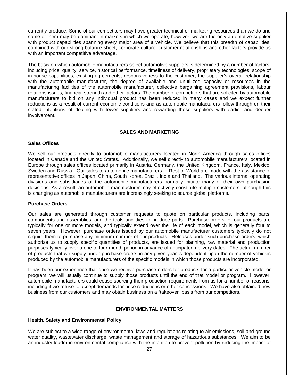currently produce. Some of our competitors may have greater technical or marketing resources than we do and some of them may be dominant in markets in which we operate, however, we are the only automotive supplier with product capabilities spanning every major area of a vehicle. We believe that this breadth of capabilities, combined with our strong balance sheet, corporate culture, customer relationships and other factors provide us with an important competitive advantage.

The basis on which automobile manufacturers select automotive suppliers is determined by a number of factors, including price, quality, service, historical performance, timeliness of delivery, proprietary technologies, scope of in-house capabilities, existing agreements, responsiveness to the customer, the supplier's overall relationship with the automobile manufacturer, the degree of available and unutilized capacity or resources in the manufacturing facilities of the automobile manufacturer, collective bargaining agreement provisions, labour relations issues, financial strength and other factors. The number of competitors that are solicited by automobile manufacturers to bid on any individual product has been reduced in many cases and we expect further reductions as a result of current economic conditions and as automobile manufacturers follow through on their stated intentions of dealing with fewer suppliers and rewarding those suppliers with earlier and deeper involvement.

# **SALES AND MARKETING**

### **Sales Offices**

We sell our products directly to automobile manufacturers located in North America through sales offices located in Canada and the United States. Additionally, we sell directly to automobile manufacturers located in Europe through sales offices located primarily in Austria, Germany, the United Kingdom, France, Italy, Mexico, Sweden and Russia. Our sales to automobile manufacturers in Rest of World are made with the assistance of representative offices in Japan, China, South Korea, Brazil, India and Thailand. The various internal operating divisions and subsidiaries of the automobile manufacturers normally initiate many of their own purchasing decisions. As a result, an automobile manufacturer may effectively constitute multiple customers, although this is changing as automobile manufacturers are increasingly seeking to source global platforms.

### **Purchase Orders**

Our sales are generated through customer requests to quote on particular products, including parts, components and assemblies, and the tools and dies to produce parts. Purchase orders for our products are typically for one or more models, and typically extend over the life of each model, which is generally four to seven years. However, purchase orders issued by our automobile manufacturer customers typically do not require them to purchase any minimum number of our products. Releases under such purchase orders, which authorize us to supply specific quantities of products, are issued for planning, raw material and production purposes typically over a one to four month period in advance of anticipated delivery dates. The actual number of products that we supply under purchase orders in any given year is dependent upon the number of vehicles produced by the automobile manufacturers of the specific models in which those products are incorporated.

It has been our experience that once we receive purchase orders for products for a particular vehicle model or program, we will usually continue to supply those products until the end of that model or program. However, automobile manufacturers could cease sourcing their production requirements from us for a number of reasons, including if we refuse to accept demands for price reductions or other concessions. We have also obtained new business from our customers and may obtain business on a "takeover" basis from our competitors.

# **ENVIRONMENTAL MATTERS**

### **Health, Safety and Environmental Policy**

We are subject to a wide range of environmental laws and regulations relating to air emissions, soil and ground water quality, wastewater discharge, waste management and storage of hazardous substances. We aim to be an industry leader in environmental compliance with the intention to prevent pollution by reducing the impact of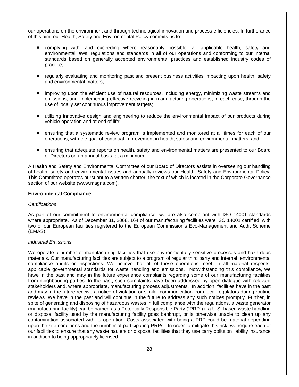our operations on the environment and through technological innovation and process efficiencies. In furtherance of this aim, our Health, Safety and Environmental Policy commits us to:

- complying with, and exceeding where reasonably possible, all applicable health, safety and environmental laws, regulations and standards in all of our operations and conforming to our internal standards based on generally accepted environmental practices and established industry codes of practice;
- regularly evaluating and monitoring past and present business activities impacting upon health, safety and environmental matters;
- **If** improving upon the efficient use of natural resources, including energy, minimizing waste streams and emissions, and implementing effective recycling in manufacturing operations, in each case, through the use of locally set continuous improvement targets;
- utilizing innovative design and engineering to reduce the environmental impact of our products during vehicle operation and at end of life;
- ensuring that a systematic review program is implemented and monitored at all times for each of our operations, with the goal of continual improvement in health, safety and environmental matters; and
- ensuring that adequate reports on health, safety and environmental matters are presented to our Board of Directors on an annual basis, at a minimum.

A Health and Safety and Environmental Committee of our Board of Directors assists in overseeing our handling of health, safety and environmental issues and annually reviews our Health, Safety and Environmental Policy. This Committee operates pursuant to a written charter, the text of which is located in the Corporate Governance section of our website (www.magna.com).

### **Environmental Compliance**

### *Certifications*

As part of our commitment to environmental compliance, we are also compliant with ISO 14001 standards where appropriate. As of December 31, 2008, 164 of our manufacturing facilities were ISO 14001 certified, with two of our European facilities registered to the European Commission's Eco-Management and Audit Scheme (EMAS).

# *Industrial Emissions*

We operate a number of manufacturing facilities that use environmentally sensitive processes and hazardous materials. Our manufacturing facilities are subject to a program of regular third party and internal environmental compliance audits or inspections. We believe that all of these operations meet, in all material respects, applicable governmental standards for waste handling and emissions. Notwithstanding this compliance, we have in the past and may in the future experience complaints regarding some of our manufacturing facilities from neighbouring parties. In the past, such complaints have been addressed by open dialogue with relevant stakeholders and, where appropriate, manufacturing process adjustments. In addition, facilities have in the past and may in the future receive a notice of violation or similar communication from local regulators during routine reviews. We have in the past and will continue in the future to address any such notices promptly. Further, in spite of generating and disposing of hazardous wastes in full compliance with the regulations, a waste generator (manufacturing facility) can be named as a Potentially Responsible Party ("PRP") if a U.S.-based waste handling or disposal facility used by the manufacturing facility goes bankrupt, or is otherwise unable to clean up any contamination associated with its operation. Costs associated with being a PRP could be material depending upon the site conditions and the number of participating PRPs. In order to mitigate this risk, we require each of our facilities to ensure that any waste haulers or disposal facilities that they use carry pollution liability insurance in addition to being appropriately licensed.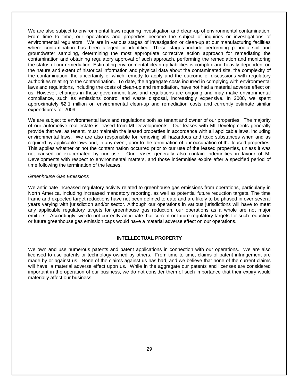We are also subject to environmental laws requiring investigation and clean-up of environmental contamination. From time to time, our operations and properties become the subject of inquiries or investigations of environmental regulators. We are in various stages of investigation or clean-up at our manufacturing facilities where contamination has been alleged or identified. These stages include performing periodic soil and groundwater sampling, determining the most appropriate corrective action approach for remediating the contamination and obtaining regulatory approval of such approach, performing the remediation and monitoring the status of our remediation. Estimating environmental clean-up liabilities is complex and heavily dependent on the nature and extent of historical information and physical data about the contaminated site, the complexity of the contamination, the uncertainty of which remedy to apply and the outcome of discussions with regulatory authorities relating to the contamination. To date, the aggregate costs incurred in complying with environmental laws and regulations, including the costs of clean-up and remediation, have not had a material adverse effect on us. However, changes in these government laws and regulations are ongoing and may make environmental compliance, such as emissions control and waste disposal, increasingly expensive. In 2008, we spent approximately \$2.1 million on environmental clean-up and remediation costs and currently estimate similar expenditures for 2009.

We are subject to environmental laws and regulations both as tenant and owner of our properties. The majority of our automotive real estate is leased from MI Developments. Our leases with MI Developments generally provide that we, as tenant, must maintain the leased properties in accordance with all applicable laws, including environmental laws. We are also responsible for removing all hazardous and toxic substances when and as required by applicable laws and, in any event, prior to the termination of our occupation of the leased properties. This applies whether or not the contamination occurred prior to our use of the leased properties, unless it was not caused or exacerbated by our use. Our leases generally also contain indemnities in favour of MI Developments with respect to environmental matters, and those indemnities expire after a specified period of time following the termination of the leases.

### *Greenhouse Gas Emissions*

We anticipate increased regulatory activity related to greenhouse gas emissions from operations, particularly in North America, including increased mandatory reporting, as well as potential future reduction targets. The time frame and expected target reductions have not been defined to date and are likely to be phased in over several years varying with jurisdiction and/or sector. Although our operations in various jurisdictions will have to meet any applicable regulatory targets for greenhouse gas reduction, our operations as a whole are not major emitters. Accordingly, we do not currently anticipate that current or future regulatory targets for such reduction or future greenhouse gas emission caps would have a material adverse effect on our operations.

### **INTELLECTUAL PROPERTY**

We own and use numerous patents and patent applications in connection with our operations. We are also licensed to use patents or technology owned by others. From time to time, claims of patent infringement are made by or against us. None of the claims against us has had, and we believe that none of the current claims will have, a material adverse effect upon us. While in the aggregate our patents and licenses are considered important in the operation of our business, we do not consider them of such importance that their expiry would materially affect our business.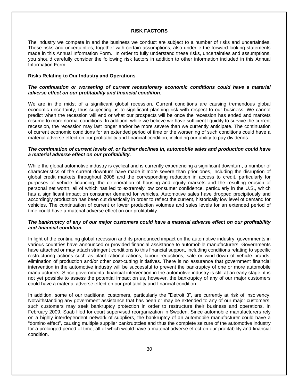### **RISK FACTORS**

The industry we compete in and the business we conduct are subject to a number of risks and uncertainties. These risks and uncertainties, together with certain assumptions, also underlie the forward-looking statements made in this Annual Information Form. In order to fully understand these risks, uncertainties and assumptions, you should carefully consider the following risk factors in addition to other information included in this Annual Information Form.

### **Risks Relating to Our Industry and Operations**

### *The continuation or worsening of current recessionary economic conditions could have a material adverse effect on our profitability and financial condition.*

We are in the midst of a significant global recession. Current conditions are causing tremendous global economic uncertainty, thus subjecting us to significant planning risk with respect to our business. We cannot predict when the recession will end or what our prospects will be once the recession has ended and markets resume to more normal conditions. In addition, while we believe we have sufficient liquidity to survive the current recession, the recession may last longer and/or be more severe than we currently anticipate. The continuation of current economic conditions for an extended period of time or the worsening of such conditions could have a material adverse effect on our profitability and financial condition, including our ability to pay dividends.

## *The continuation of current levels of, or further declines in, automobile sales and production could have a material adverse effect on our profitability.*

While the global automotive industry is cyclical and is currently experiencing a significant downturn, a number of characteristics of the current downturn have made it more severe than prior ones, including the disruption of global credit markets throughout 2008 and the corresponding reduction in access to credit, particularly for purposes of vehicle financing, the deterioration of housing and equity markets and the resulting erosion of personal net worth, all of which has led to extremely low consumer confidence, particularly in the U.S., which has a significant impact on consumer demand for vehicles. Automotive sales have dropped precipitously and accordingly production has been cut drastically in order to reflect the current, historically low level of demand for vehicles. The continuation of current or lower production volumes and sales levels for an extended period of time could have a material adverse effect on our profitability.

### *The bankruptcy of any of our major customers could have a material adverse effect on our profitability and financial condition.*

In light of the continuing global recession and its pronounced impact on the automotive industry, governments in various countries have announced or provided financial assistance to automobile manufacturers. Governments have attached or may attach stringent conditions to this financial support, including conditions relating to specific restructuring actions such as plant rationalizations, labour reductions, sale or wind-down of vehicle brands, elimination of production and/or other cost-cutting initiatives. There is no assurance that government financial intervention in the automotive industry will be successful to prevent the bankruptcy of one or more automobile manufacturers. Since governmental financial intervention in the automotive industry is still at an early stage, it is not yet possible to assess the potential impact on us, however, the bankruptcy of any of our major customers could have a material adverse effect on our profitability and financial condition.

In addition, some of our traditional customers, particularly the "Detroit 3", are currently at risk of insolvency. Notwithstanding any government assistance that has been or may be extended to any of our major customers, such customers may seek bankruptcy protection in order to restructure their business and operations. In February 2009, Saab filed for court supervised reorganization in Sweden. Since automobile manufacturers rely on a highly interdependent network of suppliers, the bankruptcy of an automobile manufacturer could have a "domino effect", causing multiple supplier bankruptcies and thus the complete seizure of the automotive industry for a prolonged period of time, all of which would have a material adverse effect on our profitability and financial condition.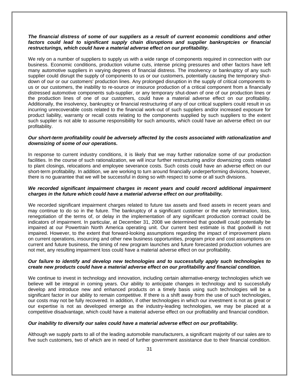### *The financial distress of some of our suppliers as a result of current economic conditions and other*  factors could lead to significant supply chain disruptions and supplier bankruptcies or financial *restructurings, which could have a material adverse effect on our profitability.*

We rely on a number of suppliers to supply us with a wide range of components required in connection with our business. Economic conditions, production volume cuts, intense pricing pressures and other factors have left many automotive suppliers in varying degrees of financial distress. The insolvency or bankruptcy of any such supplier could disrupt the supply of components to us or our customers, potentially causing the temporary shutdown of our or our customers' production lines. Any prolonged disruption in the supply of critical components to us or our customers, the inability to re-source or insource production of a critical component from a financially distressed automotive components sub-supplier, or any temporary shut-down of one of our production lines or the production lines of one of our customers, could have a material adverse effect on our profitability. Additionally, the insolvency, bankruptcy or financial restructuring of any of our critical suppliers could result in us incurring unrecoverable costs related to the financial work-out of such suppliers and/or increased exposure for product liability, warranty or recall costs relating to the components supplied by such suppliers to the extent such supplier is not able to assume responsibility for such amounts, which could have an adverse effect on our profitability.

### *Our short-term profitability could be adversely affected by the costs associated with rationalization and downsizing of some of our operations.*

In response to current industry conditions, it is likely that we may further rationalize some of our production facilities. In the course of such rationalization, we will incur further restructuring and/or downsizing costs related to plant closings, relocations and employee severance costs. Such costs could have an adverse effect on our short-term profitability. In addition, we are working to turn around financially underperforming divisions, however, there is no guarantee that we will be successful in doing so with respect to some or all such divisions.

### *We recorded significant impairment charges in recent years and could record additional impairment charges in the future which could have a material adverse effect on our profitability.*

We recorded significant impairment charges related to future tax assets and fixed assets in recent years and may continue to do so in the future. The bankruptcy of a significant customer or the early termination, loss, renegotiation of the terms of, or delay in the implementation of any significant production contract could be indicators of impairment. In particular, at December 31, 2008 we determined that goodwill could potentially be impaired at our Powertrain North America operating unit. Our current best estimate is that goodwill is not impaired. However, to the extent that forward-looking assumptions regarding the impact of improvement plans on current operations, insourcing and other new business opportunities, program price and cost assumptions on current and future business, the timing of new program launches and future forecasted production volumes are not met, any resulting impairment loss could have a material adverse effect on our profitability.

## *Our failure to identify and develop new technologies and to successfully apply such technologies to create new products could have a material adverse effect on our profitability and financial condition.*

We continue to invest in technology and innovation, including certain alternative-energy technologies which we believe will be integral in coming years. Our ability to anticipate changes in technology and to successfully develop and introduce new and enhanced products on a timely basis using such technologies will be a significant factor in our ability to remain competitive. If there is a shift away from the use of such technologies, our costs may not be fully recovered. In addition, if other technologies in which our investment is not as great or our expertise is not as developed emerge as the industry-leading technologies, we may be placed at a competitive disadvantage, which could have a material adverse effect on our profitability and financial condition.

## *Our inability to diversify our sales could have a material adverse effect on our profitability.*

Although we supply parts to all of the leading automobile manufacturers, a significant majority of our sales are to five such customers, two of which are in need of further government assistance due to their financial condition.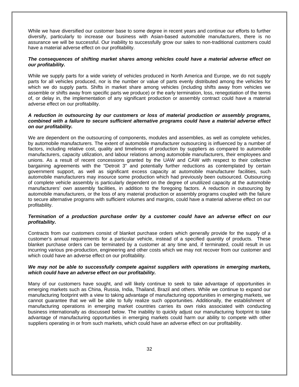While we have diversified our customer base to some degree in recent years and continue our efforts to further diversify, particularly to increase our business with Asian-based automobile manufacturers, there is no assurance we will be successful. Our inability to successfully grow our sales to non-traditional customers could have a material adverse effect on our profitability.

### *The consequences of shifting market shares among vehicles could have a material adverse effect on our profitability.*

While we supply parts for a wide variety of vehicles produced in North America and Europe, we do not supply parts for all vehicles produced, nor is the number or value of parts evenly distributed among the vehicles for which we do supply parts. Shifts in market share among vehicles (including shifts away from vehicles we assemble or shifts away from specific parts we produce) or the early termination, loss, renegotiation of the terms of, or delay in, the implementation of any significant production or assembly contract could have a material adverse effect on our profitability.

## *A reduction in outsourcing by our customers or loss of material production or assembly programs, combined with a failure to secure sufficient alternative programs could have a material adverse effect on our profitability.*

We are dependent on the outsourcing of components, modules and assemblies, as well as complete vehicles, by automobile manufacturers. The extent of automobile manufacturer outsourcing is influenced by a number of factors, including relative cost, quality and timeliness of production by suppliers as compared to automobile manufacturers, capacity utilization, and labour relations among automobile manufacturers, their employees and unions. As a result of recent concessions granted by the UAW and CAW with respect to their collective bargaining agreements with the "Detroit 3" and potentially further reductions as contemplated by certain government support, as well as significant excess capacity at automobile manufacturer facilities, such automobile manufacturers may insource some production which had previously been outsourced. Outsourcing of complete vehicle assembly is particularly dependent on the degree of unutilized capacity at the automobile manufacturers' own assembly facilities, in addition to the foregoing factors. A reduction in outsourcing by automobile manufacturers, or the loss of any material production or assembly programs coupled with the failure to secure alternative programs with sufficient volumes and margins, could have a material adverse effect on our profitability.

## *Termination of a production purchase order by a customer could have an adverse effect on our profitability.*

Contracts from our customers consist of blanket purchase orders which generally provide for the supply of a customer's annual requirements for a particular vehicle, instead of a specified quantity of products. These blanket purchase orders can be terminated by a customer at any time and, if terminated, could result in us incurring various pre-production, engineering and other costs which we may not recover from our customer and which could have an adverse effect on our profitability.

## *We may not be able to successfully compete against suppliers with operations in emerging markets, which could have an adverse effect on our profitability.*

Many of our customers have sought, and will likely continue to seek to take advantage of opportunities in emerging markets such as China, Russia, India, Thailand, Brazil and others. While we continue to expand our manufacturing footprint with a view to taking advantage of manufacturing opportunities in emerging markets, we cannot guarantee that we will be able to fully realize such opportunities. Additionally, the establishment of manufacturing operations in emerging market countries carries its own risks associated with conducting business internationally as discussed below. The inability to quickly adjust our manufacturing footprint to take advantage of manufacturing opportunities in emerging markets could harm our ability to compete with other suppliers operating in or from such markets, which could have an adverse effect on our profitability.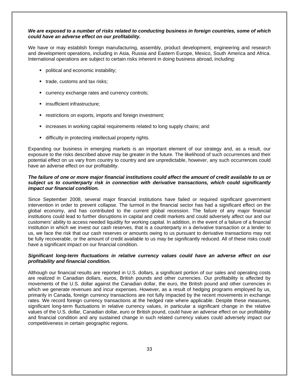## *We are exposed to a number of risks related to conducting business in foreign countries, some of which could have an adverse effect on our profitability.*

We have or may establish foreign manufacturing, assembly, product development, engineering and research and development operations, including in Asia, Russia and Eastern Europe, Mexico, South America and Africa. International operations are subject to certain risks inherent in doing business abroad, including:

- **•** political and economic instability;
- **trade, customs and tax risks:**
- **EXECUTERCY EXCHANGE FRAGES AND CUTTERCY CONTROLS;**
- **·** insufficient infrastructure;
- **F** restrictions on exports, imports and foreign investment;
- **increases in working capital requirements related to long supply chains; and**
- difficulty in protecting intellectual property rights.

Expanding our business in emerging markets is an important element of our strategy and, as a result, our exposure to the risks described above may be greater in the future. The likelihood of such occurrences and their potential effect on us vary from country to country and are unpredictable, however, any such occurrences could have an adverse effect on our profitability.

## *The failure of one or more major financial institutions could affect the amount of credit available to us or subject us to counterparty risk in connection with derivative transactions, which could significantly impact our financial condition.*

Since September 2008, several major financial institutions have failed or required significant government intervention in order to prevent collapse. The turmoil in the financial sector has had a significant effect on the global economy, and has contributed to the current global recession. The failure of any major financial institutions could lead to further disruptions in capital and credit markets and could adversely affect our and our customers' ability to access needed liquidity for working capital. In addition, in the event of a failure of a financial institution in which we invest our cash reserves, that is a counterparty in a derivative transaction or a lender to us, we face the risk that our cash reserves or amounts owing to us pursuant to derivative transactions may not be fully recoverable, or the amount of credit available to us may be significantly reduced. All of these risks could have a significant impact on our financial condition.

## *Significant long-term fluctuations in relative currency values could have an adverse effect on our profitability and financial condition.*

Although our financial results are reported in U.S. dollars, a significant portion of our sales and operating costs are realized in Canadian dollars, euros, British pounds and other currencies. Our profitability is affected by movements of the U.S. dollar against the Canadian dollar, the euro, the British pound and other currencies in which we generate revenues and incur expenses. However, as a result of hedging programs employed by us, primarily in Canada, foreign currency transactions are not fully impacted by the recent movements in exchange rates. We record foreign currency transactions at the hedged rate where applicable. Despite these measures, significant long-term fluctuations in relative currency values, in particular a significant change in the relative values of the U.S. dollar, Canadian dollar, euro or British pound, could have an adverse effect on our profitability and financial condition and any sustained change in such related currency values could adversely impact our competitiveness in certain geographic regions.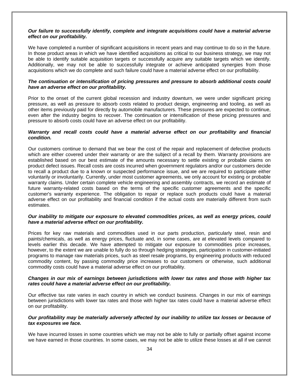### *Our failure to successfully identify, complete and integrate acquisitions could have a material adverse effect on our profitability.*

We have completed a number of significant acquisitions in recent years and may continue to do so in the future. In those product areas in which we have identified acquisitions as critical to our business strategy, we may not be able to identify suitable acquisition targets or successfully acquire any suitable targets which we identify. Additionally, we may not be able to successfully integrate or achieve anticipated synergies from those acquisitions which we do complete and such failure could have a material adverse effect on our profitability.

## *The continuation or intensification of pricing pressures and pressure to absorb additional costs could have an adverse effect on our profitability.*

Prior to the onset of the current global recession and industry downturn, we were under significant pricing pressure, as well as pressure to absorb costs related to product design, engineering and tooling, as well as other items previously paid for directly by automobile manufacturers. These pressures are expected to continue, even after the industry begins to recover. The continuation or intensification of these pricing pressures and pressure to absorb costs could have an adverse effect on our profitability.

## *Warranty and recall costs could have a material adverse effect on our profitability and financial condition.*

Our customers continue to demand that we bear the cost of the repair and replacement of defective products which are either covered under their warranty or are the subject of a recall by them. Warranty provisions are established based on our best estimate of the amounts necessary to settle existing or probable claims on product defect issues. Recall costs are costs incurred when government regulators and/or our customers decide to recall a product due to a known or suspected performance issue, and we are required to participate either voluntarily or involuntarily. Currently, under most customer agreements, we only account for existing or probable warranty claims. Under certain complete vehicle engineering and assembly contracts, we record an estimate of future warranty-related costs based on the terms of the specific customer agreements and the specific customer's warranty experience. The obligation to repair or replace such products could have a material adverse effect on our profitability and financial condition if the actual costs are materially different from such estimates.

## *Our inability to mitigate our exposure to elevated commodities prices, as well as energy prices, could have a material adverse effect on our profitability.*

Prices for key raw materials and commodities used in our parts production, particularly steel, resin and paints/chemicals, as well as energy prices, fluctuate and, in some cases, are at elevated levels compared to levels earlier this decade. We have attempted to mitigate our exposure to commodities price increases, however, to the extent we are unable to fully do so through hedging strategies, participation in customer-initiated programs to manage raw materials prices, such as steel resale programs, by engineering products with reduced commodity content, by passing commodity price increases to our customers or otherwise, such additional commodity costs could have a material adverse effect on our profitability.

### *Changes in our mix of earnings between jurisdictions with lower tax rates and those with higher tax rates could have a material adverse effect on our profitability.*

Our effective tax rate varies in each country in which we conduct business. Changes in our mix of earnings between jurisdictions with lower tax rates and those with higher tax rates could have a material adverse effect on our profitability.

# *Our profitability may be materially adversely affected by our inability to utilize tax losses or because of tax exposures we face.*

We have incurred losses in some countries which we may not be able to fully or partially offset against income we have earned in those countries. In some cases, we may not be able to utilize these losses at all if we cannot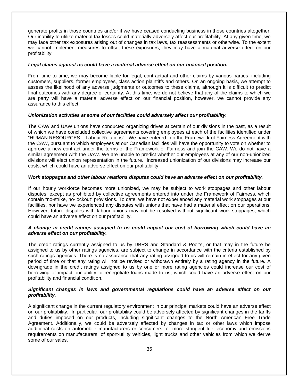generate profits in those countries and/or if we have ceased conducting business in those countries altogether. Our inability to utilize material tax losses could materially adversely affect our profitability. At any given time, we may face other tax exposures arising out of changes in tax laws, tax reassessments or otherwise. To the extent we cannot implement measures to offset these exposures, they may have a material adverse effect on our profitability.

### *Legal claims against us could have a material adverse effect on our financial position.*

From time to time, we may become liable for legal, contractual and other claims by various parties, including customers, suppliers, former employees, class action plaintiffs and others. On an ongoing basis, we attempt to assess the likelihood of any adverse judgments or outcomes to these claims, although it is difficult to predict final outcomes with any degree of certainty. At this time, we do not believe that any of the claims to which we are party will have a material adverse effect on our financial position, however, we cannot provide any assurance to this effect.

### *Unionization activities at some of our facilities could adversely affect our profitability.*

The CAW and UAW unions have conducted organizing drives at certain of our divisions in the past, as a result of which we have concluded collective agreements covering employees at each of the facilities identified under "HUMAN RESOURCES – Labour Relations". We have entered into the Framework of Fairness Agreement with the CAW, pursuant to which employees at our Canadian facilities will have the opportunity to vote on whether to approve a new contract under the terms of the Framework of Fairness and join the CAW. We do not have a similar agreement with the UAW. We are unable to predict whether our employees at any of our non-unionized divisions will elect union representation in the future. Increased unionization of our divisions may increase our costs, which could have an adverse effect on our profitability.

### *Work stoppages and other labour relations disputes could have an adverse effect on our profitability.*

If our hourly workforce becomes more unionized, we may be subject to work stoppages and other labour disputes, except as prohibited by collective agreements entered into under the Framework of Fairness, which contain "no-strike, no-lockout" provisions. To date, we have not experienced any material work stoppages at our facilities, nor have we experienced any disputes with unions that have had a material effect on our operations. However, future disputes with labour unions may not be resolved without significant work stoppages, which could have an adverse effect on our profitability.

### *A change in credit ratings assigned to us could impact our cost of borrowing which could have an adverse effect on our profitability.*

The credit ratings currently assigned to us by DBRS and Standard & Poor's, or that may in the future be assigned to us by other ratings agencies, are subject to change in accordance with the criteria established by such ratings agencies. There is no assurance that any rating assigned to us will remain in effect for any given period of time or that any rating will not be revised or withdrawn entirely by a rating agency in the future. A downgrade in the credit ratings assigned to us by one or more rating agencies could increase our cost of borrowing or impact our ability to renegotiate loans made to us, which could have an adverse effect on our profitability and financial condition.

# *Significant changes in laws and governmental regulations could have an adverse effect on our profitability.*

A significant change in the current regulatory environment in our principal markets could have an adverse effect on our profitability. In particular, our profitability could be adversely affected by significant changes in the tariffs and duties imposed on our products, including significant changes to the North American Free Trade Agreement. Additionally, we could be adversely affected by changes in tax or other laws which impose additional costs on automobile manufacturers or consumers, or more stringent fuel economy and emissions requirements on manufacturers, of sport-utility vehicles, light trucks and other vehicles from which we derive some of our sales.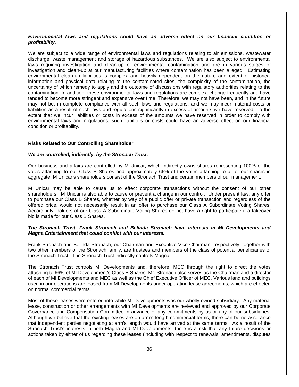### *Environmental laws and regulations could have an adverse effect on our financial condition or profitability.*

We are subject to a wide range of environmental laws and regulations relating to air emissions, wastewater discharge, waste management and storage of hazardous substances. We are also subject to environmental laws requiring investigation and clean-up of environmental contamination and are in various stages of investigation and clean-up at our manufacturing facilities where contamination has been alleged. Estimating environmental clean-up liabilities is complex and heavily dependent on the nature and extent of historical information and physical data relating to the contaminated sites, the complexity of the contamination, the uncertainty of which remedy to apply and the outcome of discussions with regulatory authorities relating to the contamination. In addition, these environmental laws and regulations are complex, change frequently and have tended to become more stringent and expensive over time. Therefore, we may not have been, and in the future may not be, in complete compliance with all such laws and regulations, and we may incur material costs or liabilities as a result of such laws and regulations significantly in excess of amounts we have reserved. To the extent that we incur liabilities or costs in excess of the amounts we have reserved in order to comply with environmental laws and regulations, such liabilities or costs could have an adverse effect on our financial condition or profitability.

### **Risks Related to Our Controlling Shareholder**

### *We are controlled, indirectly, by the Stronach Trust.*

Our business and affairs are controlled by M Unicar, which indirectly owns shares representing 100% of the votes attaching to our Class B Shares and approximately 66% of the votes attaching to all of our shares in aggregate. M Unicar's shareholders consist of the Stronach Trust and certain members of our management.

M Unicar may be able to cause us to effect corporate transactions without the consent of our other shareholders. M Unicar is also able to cause or prevent a change in our control. Under present law, any offer to purchase our Class B Shares, whether by way of a public offer or private transaction and regardless of the offered price, would not necessarily result in an offer to purchase our Class A Subordinate Voting Shares. Accordingly, holders of our Class A Subordinate Voting Shares do not have a right to participate if a takeover bid is made for our Class B Shares.

### *The Stronach Trust, Frank Stronach and Belinda Stronach have interests in MI Developments and Magna Entertainment that could conflict with our interests.*

Frank Stronach and Belinda Stronach, our Chairman and Executive Vice-Chairman, respectively, together with two other members of the Stronach family, are trustees and members of the class of potential beneficiaries of the Stronach Trust. The Stronach Trust indirectly controls Magna.

The Stronach Trust controls MI Developments and, therefore, MEC through the right to direct the votes attaching to 66% of MI Development's Class B Shares. Mr. Stronach also serves as the Chairman and a director of each of MI Developments and MEC as well as the Chief Executive Officer of MEC. Various land and buildings used in our operations are leased from MI Developments under operating lease agreements, which are effected on normal commercial terms.

Most of these leases were entered into while MI Developments was our wholly-owned subsidiary. Any material lease, construction or other arrangements with MI Developments are reviewed and approved by our Corporate Governance and Compensation Committee in advance of any commitments by us or any of our subsidiaries. Although we believe that the existing leases are on arm's length commercial terms, there can be no assurance that independent parties negotiating at arm's length would have arrived at the same terms. As a result of the Stronach Trust's interests in both Magna and MI Developments, there is a risk that any future decisions or actions taken by either of us regarding these leases (including with respect to renewals, amendments, disputes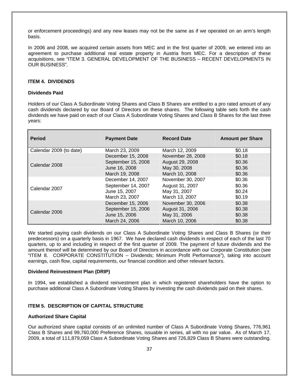or enforcement proceedings) and any new leases may not be the same as if we operated on an arm's length basis.

In 2006 and 2008, we acquired certain assets from MEC and in the first quarter of 2009, we entered into an agreement to purchase additional real estate property in Austria from MEC. For a description of these acquisitions, see "ITEM 3. GENERAL DEVELOPMENT OF THE BUSINESS – RECENT DEVELOPMENTS IN OUR BUSINESS".

### **ITEM 4. DIVIDENDS**

### **Dividends Paid**

Holders of our Class A Subordinate Voting Shares and Class B Shares are entitled to a pro rated amount of any cash dividends declared by our Board of Directors on these shares. The following table sets forth the cash dividends we have paid on each of our Class A Subordinate Voting Shares and Class B Shares for the last three years:

| <b>Period</b>           | <b>Payment Date</b> | <b>Record Date</b> | <b>Amount per Share</b> |
|-------------------------|---------------------|--------------------|-------------------------|
| Calendar 2009 (to date) | March 23, 2009      | March 12, 2009     | \$0.18                  |
|                         | December 15, 2008   | November 28, 2008  | \$0.18                  |
| Calendar 2008           | September 15, 2008  | August 29, 2008    | \$0.36                  |
|                         | June 16, 2008       | May 30, 2008       | \$0.36                  |
|                         | March 19, 2008      | March 10, 2008     | \$0.36                  |
|                         | December 14, 2007   | November 30, 2007  | \$0.36                  |
| Calendar 2007           | September 14, 2007  | August 31, 2007    | \$0.36                  |
|                         | June 15, 2007       | May 31, 2007       | \$0.24                  |
|                         | March 23, 2007      | March 13, 2007     | \$0.19                  |
|                         | December 15, 2006   | November 30, 2006  | \$0.38                  |
|                         | September 15, 2006  | August 31, 2006    | \$0.38                  |
| Calendar 2006           | June 15, 2006       | May 31, 2006       | \$0.38                  |
|                         | March 24, 2006      | March 10, 2006     | \$0.38                  |

We started paying cash dividends on our Class A Subordinate Voting Shares and Class B Shares (or their predecessors) on a quarterly basis in 1967. We have declared cash dividends in respect of each of the last 70 quarters, up to and including in respect of the first quarter of 2009. The payment of future dividends and the amount thereof will be determined by our Board of Directors in accordance with our Corporate Constitution (see "ITEM 8. CORPORATE CONSTITUTION – Dividends; Minimum Profit Performance"), taking into account earnings, cash flow, capital requirements, our financial condition and other relevant factors.

## **Dividend Reinvestment Plan (DRIP)**

In 1994, we established a dividend reinvestment plan in which registered shareholders have the option to purchase additional Class A Subordinate Voting Shares by investing the cash dividends paid on their shares.

### **ITEM 5. DESCRIPTION OF CAPITAL STRUCTURE**

### **Authorized Share Capital**

Our authorized share capital consists of an unlimited number of Class A Subordinate Voting Shares, 776,961 Class B Shares and 99,760,000 Preference Shares, issuable in series, all with no par value. As of March 17, 2009, a total of 111,879,059 Class A Subordinate Voting Shares and 726,829 Class B Shares were outstanding.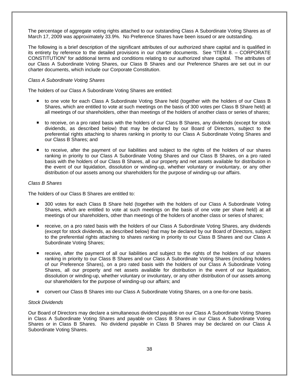The percentage of aggregate voting rights attached to our outstanding Class A Subordinate Voting Shares as of March 17, 2009 was approximately 33.9%. No Preference Shares have been issued or are outstanding.

The following is a brief description of the significant attributes of our authorized share capital and is qualified in its entirety by reference to the detailed provisions in our charter documents. See "ITEM 8. – CORPORATE CONSTITUTION" for additional terms and conditions relating to our authorized share capital. The attributes of our Class A Subordinate Voting Shares, our Class B Shares and our Preference Shares are set out in our charter documents, which include our Corporate Constitution.

## *Class A Subordinate Voting Shares*

The holders of our Class A Subordinate Voting Shares are entitled:

- to one vote for each Class A Subordinate Voting Share held (together with the holders of our Class B Shares, which are entitled to vote at such meetings on the basis of 300 votes per Class B Share held) at all meetings of our shareholders, other than meetings of the holders of another class or series of shares;
- to receive, on a pro rated basis with the holders of our Class B Shares, any dividends (except for stock dividends, as described below) that may be declared by our Board of Directors, subject to the preferential rights attaching to shares ranking in priority to our Class A Subordinate Voting Shares and our Class B Shares; and
- to receive, after the payment of our liabilities and subject to the rights of the holders of our shares ranking in priority to our Class A Subordinate Voting Shares and our Class B Shares, on a pro rated basis with the holders of our Class B Shares, all our property and net assets available for distribution in the event of our liquidation, dissolution or winding-up, whether voluntary or involuntary, or any other distribution of our assets among our shareholders for the purpose of winding-up our affairs.

### *Class B Shares*

The holders of our Class B Shares are entitled to:

- 300 votes for each Class B Share held (together with the holders of our Class A Subordinate Voting Shares, which are entitled to vote at such meetings on the basis of one vote per share held) at all meetings of our shareholders, other than meetings of the holders of another class or series of shares;
- receive, on a pro rated basis with the holders of our Class A Subordinate Voting Shares, any dividends (except for stock dividends, as described below) that may be declared by our Board of Directors, subject to the preferential rights attaching to shares ranking in priority to our Class B Shares and our Class A Subordinate Voting Shares;
- receive, after the payment of all our liabilities and subject to the rights of the holders of our shares ranking in priority to our Class B Shares and our Class A Subordinate Voting Shares (including holders of our Preference Shares), on a pro rated basis with the holders of our Class A Subordinate Voting Shares, all our property and net assets available for distribution in the event of our liquidation, dissolution or winding-up, whether voluntary or involuntary, or any other distribution of our assets among our shareholders for the purpose of winding-up our affairs; and
- convert our Class B Shares into our Class A Subordinate Voting Shares, on a one-for-one basis.

## *Stock Dividends*

Our Board of Directors may declare a simultaneous dividend payable on our Class A Subordinate Voting Shares in Class A Subordinate Voting Shares and payable on Class B Shares in our Class A Subordinate Voting Shares or in Class B Shares. No dividend payable in Class B Shares may be declared on our Class A Subordinate Voting Shares.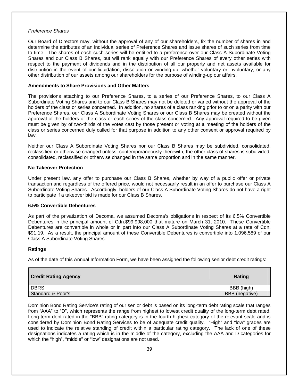### *Preference Shares*

Our Board of Directors may, without the approval of any of our shareholders, fix the number of shares in and determine the attributes of an individual series of Preference Shares and issue shares of such series from time to time. The shares of each such series will be entitled to a preference over our Class A Subordinate Voting Shares and our Class B Shares, but will rank equally with our Preference Shares of every other series with respect to the payment of dividends and in the distribution of all our property and net assets available for distribution in the event of our liquidation, dissolution or winding-up, whether voluntary or involuntary, or any other distribution of our assets among our shareholders for the purpose of winding-up our affairs.

## **Amendments to Share Provisions and Other Matters**

The provisions attaching to our Preference Shares, to a series of our Preference Shares, to our Class A Subordinate Voting Shares and to our Class B Shares may not be deleted or varied without the approval of the holders of the class or series concerned. In addition, no shares of a class ranking prior to or on a parity with our Preference Shares, our Class A Subordinate Voting Shares or our Class B Shares may be created without the approval of the holders of the class or each series of the class concerned. Any approval required to be given must be given by of two-thirds of the votes cast by those present or voting at a meeting of the holders of the class or series concerned duly called for that purpose in addition to any other consent or approval required by law.

Neither our Class A Subordinate Voting Shares nor our Class B Shares may be subdivided, consolidated, reclassified or otherwise changed unless, contemporaneously therewith, the other class of shares is subdivided, consolidated, reclassified or otherwise changed in the same proportion and in the same manner.

## **No Takeover Protection**

Under present law, any offer to purchase our Class B Shares, whether by way of a public offer or private transaction and regardless of the offered price, would not necessarily result in an offer to purchase our Class A Subordinate Voting Shares. Accordingly, holders of our Class A Subordinate Voting Shares do not have a right to participate if a takeover bid is made for our Class B Shares.

## **6.5% Convertible Debentures**

As part of the privatization of Decoma, we assumed Decoma's obligations in respect of its 6.5% Convertible Debentures in the principal amount of Cdn.\$99,998,000 that mature on March 31, 2010. These Convertible Debentures are convertible in whole or in part into our Class A Subordinate Voting Shares at a rate of Cdn. \$91.19. As a result, the principal amount of these Convertible Debentures is convertible into 1,096,589 of our Class A Subordinate Voting Shares.

## **Ratings**

As of the date of this Annual Information Form, we have been assigned the following senior debt credit ratings:

| Credit Rating Agency | Rating         |
|----------------------|----------------|
| DBRS                 | BBB (high)     |
| Standard & Poor's    | BBB (negative) |

Dominion Bond Rating Service's rating of our senior debt is based on its long-term debt rating scale that ranges from "AAA" to "D", which represents the range from highest to lowest credit quality of the long-term debt rated. Long-term debt rated in the "BBB" rating category is in the fourth highest category of the relevant scale and is considered by Dominion Bond Rating Services to be of adequate credit quality. "High" and "low" grades are used to indicate the relative standing of credit within a particular rating category. The lack of one of these designations indicates a rating which is in the middle of the category, excluding the AAA and D categories for which the "high", "middle" or "low" designations are not used.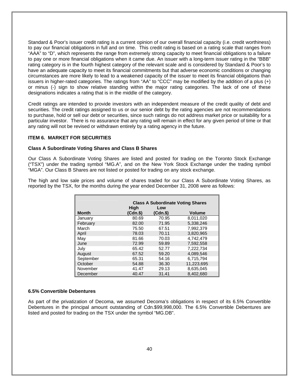Standard & Poor's issuer credit rating is a current opinion of our overall financial capacity (i.e. credit worthiness) to pay our financial obligations in full and on time. This credit rating is based on a rating scale that ranges from "AAA" to "D", which represents the range from extremely strong capacity to meet financial obligations to a failure to pay one or more financial obligations when it came due. An issuer with a long-term issuer rating in the "BBB" rating category is in the fourth highest category of the relevant scale and is considered by Standard & Poor's to have an adequate capacity to meet its financial commitments but that adverse economic conditions or changing circumstances are more likely to lead to a weakened capacity of the issuer to meet its financial obligations than issuers in higher-rated categories. The ratings from "AA" to "CCC" may be modified by the addition of a plus (+) or minus (-) sign to show relative standing within the major rating categories. The lack of one of these designations indicates a rating that is in the middle of the category.

Credit ratings are intended to provide investors with an independent measure of the credit quality of debt and securities. The credit ratings assigned to us or our senior debt by the rating agencies are not recommendations to purchase, hold or sell our debt or securities, since such ratings do not address market price or suitability for a particular investor. There is no assurance that any rating will remain in effect for any given period of time or that any rating will not be revised or withdrawn entirely by a rating agency in the future.

### **ITEM 6. MARKET FOR SECURITIES**

### **Class A Subordinate Voting Shares and Class B Shares**

Our Class A Subordinate Voting Shares are listed and posted for trading on the Toronto Stock Exchange ("TSX") under the trading symbol "MG.A", and on the New York Stock Exchange under the trading symbol "MGA". Our Class B Shares are not listed or posted for trading on any stock exchange.

The high and low sale prices and volume of shares traded for our Class A Subordinate Voting Shares, as reported by the TSX, for the months during the year ended December 31, 2008 were as follows:

|              |                     |                    | <b>Class A Subordinate Voting Shares</b> |
|--------------|---------------------|--------------------|------------------------------------------|
| <b>Month</b> | High<br>$(Cdn.$ \$) | Low<br>$(Cdn.$ \$) | <b>Volume</b>                            |
| January      | 80.69               | 70.95              | 8.011.020                                |
| February     | 82.00               | 71.95              | 5,338,246                                |
| March        | 75.50               | 67.51              | 7.992.379                                |
| April        | 78.03               | 70.11              | 3,820,965                                |
| May          | 81.66               | 70.03              | 4.742.479                                |
| June         | 72.99               | 59.89              | 7,592,558                                |
| Julv         | 65.42               | 52.77              | 7,222,734                                |
| August       | 67.52               | 59.20              | 4,089,546                                |
| September    | 65.31               | 54.16              | 6,715,794                                |
| October      | 54.88               | 36.30              | 11,223,695                               |
| November     | 41.47               | 29.13              | 8,635,045                                |
| December     | 40.47               | 31.41              | 8.402.680                                |

### **6.5% Convertible Debentures**

As part of the privatization of Decoma, we assumed Decoma's obligations in respect of its 6.5% Convertible Debentures in the principal amount outstanding of Cdn.\$99,998,000. The 6.5% Convertible Debentures are listed and posted for trading on the TSX under the symbol "MG.DB".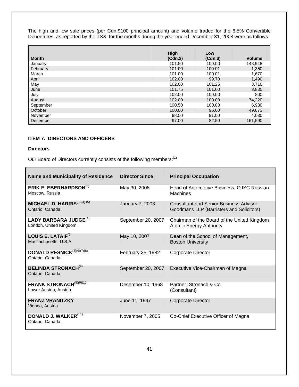The high and low sale prices (per Cdn.\$100 principal amount) and volume traded for the 6.5% Convertible Debentures, as reported by the TSX, for the months during the year ended December 31, 2008 were as follows:

|              | High        | Low      |               |
|--------------|-------------|----------|---------------|
| <b>Month</b> | $(Cdn.$ \$) | $(Cdn.\$ | <b>Volume</b> |
| January      | 101.50      | 100.00   | 148,948       |
| February     | 101.00      | 100.01   | 1,350         |
| March        | 101.00      | 100.01   | 1,670         |
| April        | 102.00      | 99.78    | 1,490         |
| May          | 102.00      | 101.25   | 3,710         |
| June         | 101.75      | 101.00   | 3,830         |
| July         | 102.00      | 100.00   | 800           |
| August       | 102.00      | 100.00   | 74,220        |
| September    | 100.50      | 100.00   | 6,930         |
| October      | 100.00      | 96.00    | 49,673        |
| November     | 98.50       | 91.00    | 4.030         |
| December     | 97.00       | 82.50    | 161,590       |

# **ITEM 7. DIRECTORS AND OFFICERS**

# **Directors**

Our Board of Directors currently consists of the following members:<sup>(1)</sup>

| <b>Name and Municipality of Residence</b>                          | <b>Director Since</b> | <b>Principal Occupation</b>                                                         |
|--------------------------------------------------------------------|-----------------------|-------------------------------------------------------------------------------------|
| ERIK E. EBERHARDSON <sup>(2)</sup><br>Moscow, Russia               | May 30, 2008          | Head of Automotive Business, OJSC Russian<br><b>Machines</b>                        |
| <b>MICHAEL D. HARRIS</b> <sup>(3) (4) (5)</sup><br>Ontario, Canada | January 7, 2003       | Consultant and Senior Business Advisor,<br>Goodmans LLP (Barristers and Solicitors) |
| LADY BARBARA JUDGE <sup>(4)</sup><br>London, United Kingdom        | September 20, 2007    | Chairman of the Board of the United Kingdom<br><b>Atomic Energy Authority</b>       |
| LOUIS E. LATAIF $^{(6)}$<br>Massachusetts, U.S.A.                  | May 10, 2007          | Dean of the School of Management,<br><b>Boston University</b>                       |
| DONALD RESNICK <sup>(4)(6)(7)(8)</sup><br>Ontario, Canada          | February 25, 1982     | <b>Corporate Director</b>                                                           |
| <b>BELINDA STRONACH<sup>(9)</sup></b><br>Ontario, Canada           | September 20, 2007    | Executive Vice-Chairman of Magna                                                    |
| FRANK STRONACH <sup>(5)(9)(10)</sup><br>Lower Austria, Austria     | December 10, 1968     | Partner, Stronach & Co.<br>(Consultant)                                             |
| <b>FRANZ VRANITZKY</b><br>Vienna, Austria                          | June 11, 1997         | <b>Corporate Director</b>                                                           |
| <b>DONALD J. WALKER(11)</b><br>Ontario, Canada                     | November 7, 2005      | Co-Chief Executive Officer of Magna                                                 |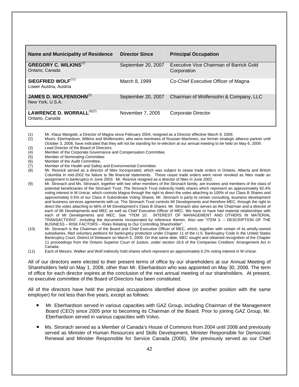| <b>Name and Municipality of Residence</b>                   | <b>Director Since</b> | <b>Principal Occupation</b>                            |
|-------------------------------------------------------------|-----------------------|--------------------------------------------------------|
| <b>GREGORY C. WILKINS</b> <sup>(2)</sup><br>Ontario, Canada | September 20, 2007    | Executive Vice Chairman of Barrick Gold<br>Corporation |
| SIEGFRIED WOLF <sup>(11)</sup><br>Lower Austria, Austria    | March 8, 1999         | Co-Chief Executive Officer of Magna                    |
| JAMES D. WOLFENSOHN <sup>(2)</sup><br>New York, U.S.A.      | September 20, 2007    | Chairman of Wolfensohn & Company, LLC                  |
| LAWRENCE D. WORRALL <sup>(6)(7)</sup><br>Ontario, Canada    | November 7, 2005      | Corporate Director                                     |

(1) Mr. Klaus Mangold, a Director of Magna since February 2004, resigned as a Director effective March 9, 2009.

- (2) Mssrs. Eberhardson, Wilkins and Wolfensohn, who were nominees of Russian Machines, our former strategic alliance partner until October 3, 2008, have indicated that they will not be standing for re-election at our annual meeting to be held on May 6, 2009.
- (3) Lead Director of the Board of Directors.<br>(4) Member of the Corporate Governance a
- Member of the Corporate Governance and Compensation Committee.
- (5) Member of Nominating Committee.<br>(6) Member of the Audit Committee.
- Member of the Audit Committee.
- (7) Member of the Health and Safety and Environmental Committee.
- (8) Mr. Resnick served as a director of Ntex Incorporated, which was subject to cease trade orders in Ontario, Alberta and British Columbia in mid-2002 for failure to file financial statements. These cease trade orders were never revoked as Ntex made an assignment in bankruptcy in June 2003. Mr. Resnick resigned as a director of Ntex in June 2002.
- (9) Mr. Stronach and Ms. Stronach, together with two other members of the Stronach family, are trustees and members of the class of potential beneficiaries of the Stronach Trust. The Stronach Trust indirectly holds shares which represent an approximately 92.4% voting interest in M Unicar, which controls Magna through the right to direct the votes attaching to 100% of our Class B Shares and approximately 0.5% of our Class A Subordinate Voting Shares. Mr. Stronach is party to certain consulting, business development and business services agreements with us. The Stronach Trust controls MI Developments and therefore MEC, through the right to direct the votes attaching to 66% of MI Development's Class B Shares. Mr. Stronach also serves as the Chairman and a director of each of MI Developments and MEC as well as Chief Executive Officer of MEC. We have or have had material relationships with each of MI Developments and MEC. See "ITEM 10. INTEREST OF MANAGEMENT AND OTHERS IN MATERIAL TRANSACTIONS", including the documents incorporated by reference therein. Also see "ITEM 3. – DESCRIPTION OF THE BUSINESS – RISK FACTORS – Risks Relating to Our Controlling Shareholder".
- (10) Mr. Stronach is the Chairman of the Board and Chief Executive Officer of MEC, which, together with certain of its wholly-owned subsidiaries, filed voluntary petitions for bankruptcy protection under Chapter 11 of the U.S. Bankruptcy Code in the United States Bankruptcy Court, District of Delaware on March 5, 2009. On that same date, MEC sought and obtained recognition of the Chapter 11 proceedings from the Ontario Superior Court of Justice, under section 18.6 of the Companies Creditors' Arrangement Act in Canada.
- (11) Each of Messrs. Walker and Wolf indirectly hold shares which represent an approximately 6.2% voting interest in M Unicar.

All of our directors were elected to their present terms of office by our shareholders at our Annual Meeting of Shareholders held on May 1, 2008, other than Mr. Eberhardson who was appointed on May 30, 2008. The term of office for each director expires at the conclusion of the next annual meeting of our shareholders. At present, no executive committee of the Board of Directors has been constituted.

All of the directors have held the principal occupations identified above (or another position with the same employer) for not less than five years, except as follows:

- Mr. Eberhardson served in various capacities with GAZ Group, including Chairman of the Management Board (CEO) since 2005 prior to becoming its Chairman of the Board. Prior to joining GAZ Group, Mr. Eberhardson served in various capacities with Volvo.
- Ms. Stronach served as a Member of Canada's House of Commons from 2004 until 2008 and previously served as Minister of Human Resources and Skills Development, Minister Responsible for Democratic Renewal and Minister Responsible for Service Canada (2005). She previously served as our Chief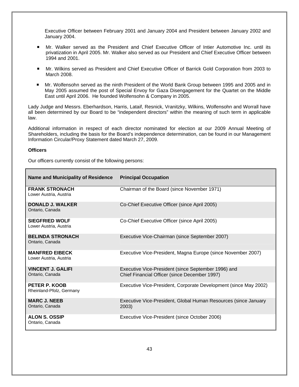Executive Officer between February 2001 and January 2004 and President between January 2002 and January 2004.

- Mr. Walker served as the President and Chief Executive Officer of Intier Automotive Inc. until its privatization in April 2005. Mr. Walker also served as our President and Chief Executive Officer between 1994 and 2001.
- Mr. Wilkins served as President and Chief Executive Officer of Barrick Gold Corporation from 2003 to March 2008.
- Mr. Wolfensohn served as the ninth President of the World Bank Group between 1995 and 2005 and in May 2005 assumed the post of Special Envoy for Gaza Disengagement for the Quartet on the Middle East until April 2006. He founded Wolfensohn & Company in 2005.

Lady Judge and Messrs. Eberhardson, Harris, Lataif, Resnick, Vranitzky, Wilkins, Wolfensohn and Worrall have all been determined by our Board to be "independent directors" within the meaning of such term in applicable law.

Additional information in respect of each director nominated for election at our 2009 Annual Meeting of Shareholders, including the basis for the Board's independence determination, can be found in our Management Information Circular/Proxy Statement dated March 27, 2009.

### **Officers**

Our officers currently consist of the following persons:

| <b>Name and Municipality of Residence</b>       | <b>Principal Occupation</b>                                                                          |
|-------------------------------------------------|------------------------------------------------------------------------------------------------------|
| <b>FRANK STRONACH</b><br>Lower Austria, Austria | Chairman of the Board (since November 1971)                                                          |
| <b>DONALD J. WALKER</b><br>Ontario, Canada      | Co-Chief Executive Officer (since April 2005)                                                        |
| <b>SIEGFRIED WOLF</b><br>Lower Austria, Austria | Co-Chief Executive Officer (since April 2005)                                                        |
| <b>BELINDA STRONACH</b><br>Ontario, Canada      | Executive Vice-Chairman (since September 2007)                                                       |
| <b>MANFRED EIBECK</b><br>Lower Austria, Austria | Executive Vice-President, Magna Europe (since November 2007)                                         |
| <b>VINCENT J. GALIFI</b><br>Ontario, Canada     | Executive Vice-President (since September 1996) and<br>Chief Financial Officer (since December 1997) |
| PETER P. KOOB<br>Rheinland-Pfolz, Germany       | Executive Vice-President, Corporate Development (since May 2002)                                     |
| <b>MARC J. NEEB</b><br>Ontario, Canada          | Executive Vice-President, Global Human Resources (since January<br>2003)                             |
| <b>ALON S. OSSIP</b><br>Ontario, Canada         | Executive Vice-President (since October 2006)                                                        |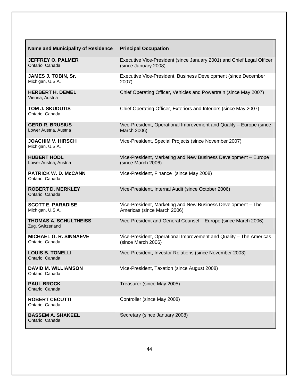| <b>Name and Municipality of Residence</b>        | <b>Principal Occupation</b>                                                                   |
|--------------------------------------------------|-----------------------------------------------------------------------------------------------|
| <b>JEFFREY O. PALMER</b><br>Ontario, Canada      | Executive Vice-President (since January 2001) and Chief Legal Officer<br>(since January 2008) |
| JAMES J. TOBIN, Sr.<br>Michigan, U.S.A.          | Executive Vice-President, Business Development (since December<br>2007)                       |
| <b>HERBERT H. DEMEL</b><br>Vienna, Austria       | Chief Operating Officer, Vehicles and Powertrain (since May 2007)                             |
| <b>TOM J. SKUDUTIS</b><br>Ontario, Canada        | Chief Operating Officer, Exteriors and Interiors (since May 2007)                             |
| <b>GERD R. BRUSIUS</b><br>Lower Austria, Austria | Vice-President, Operational Improvement and Quality - Europe (since<br>March 2006)            |
| <b>JOACHIM V. HIRSCH</b><br>Michigan, U.S.A.     | Vice-President, Special Projects (since November 2007)                                        |
| <b>HUBERT HÖDL</b><br>Lower Austria, Austria     | Vice-President, Marketing and New Business Development - Europe<br>(since March 2006)         |
| <b>PATRICK W. D. McCANN</b><br>Ontario, Canada   | Vice-President, Finance (since May 2008)                                                      |
| <b>ROBERT D. MERKLEY</b><br>Ontario, Canada      | Vice-President, Internal Audit (since October 2006)                                           |
| <b>SCOTT E. PARADISE</b><br>Michigan, U.S.A.     | Vice-President, Marketing and New Business Development - The<br>Americas (since March 2006)   |
| <b>THOMAS A. SCHULTHEISS</b><br>Zug, Switzerland | Vice-President and General Counsel - Europe (since March 2006)                                |
| <b>MICHAEL G. R. SINNAEVE</b><br>Ontario, Canada | Vice-President, Operational Improvement and Quality - The Americas<br>(since March 2006)      |
| <b>LOUIS B. TONELLI</b><br>Ontario, Canada       | Vice-President, Investor Relations (since November 2003)                                      |
| <b>DAVID M. WILLIAMSON</b><br>Ontario, Canada    | Vice-President, Taxation (since August 2008)                                                  |
| <b>PAUL BROCK</b><br>Ontario, Canada             | Treasurer (since May 2005)                                                                    |
| <b>ROBERT CECUTTI</b><br>Ontario, Canada         | Controller (since May 2008)                                                                   |
| <b>BASSEM A. SHAKEEL</b><br>Ontario, Canada      | Secretary (since January 2008)                                                                |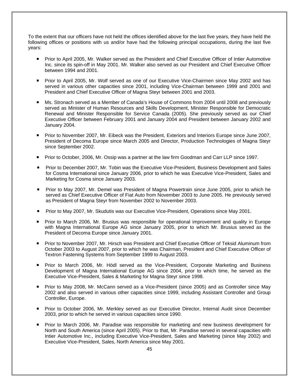To the extent that our officers have not held the offices identified above for the last five years, they have held the following offices or positions with us and/or have had the following principal occupations, during the last five years:

- **Prior to April 2005, Mr. Walker served as the President and Chief Executive Officer of Intier Automotive** Inc. since its spin-off in May 2001. Mr. Walker also served as our President and Chief Executive Officer between 1994 and 2001.
- **Prior to April 2005, Mr. Wolf served as one of our Executive Vice-Chairmen since May 2002 and has** served in various other capacities since 2001, including Vice-Chairman between 1999 and 2001 and President and Chief Executive Officer of Magna Steyr between 2001 and 2003.
- Ms. Stronach served as a Member of Canada's House of Commons from 2004 until 2008 and previously served as Minister of Human Resources and Skills Development, Minister Responsible for Democratic Renewal and Minister Responsible for Service Canada (2005). She previously served as our Chief Executive Officer between February 2001 and January 2004 and President between January 2002 and January 2004.
- **Prior to November 2007, Mr. Eibeck was the President, Exteriors and Interiors Europe since June 2007,** President of Decoma Europe since March 2005 and Director, Production Technologies of Magna Steyr since September 2002.
- Prior to October, 2006, Mr. Ossip was a partner at the law firm Goodman and Carr LLP since 1997.
- Prior to December 2007, Mr. Tobin was the Executive Vice-President, Business Development and Sales for Cosma International since January 2006, prior to which he was Executive Vice-President, Sales and Marketing for Cosma since January 2003.
- Prior to May 2007, Mr. Demel was President of Magna Powertrain since June 2005, prior to which he served as Chief Executive Officer of Fiat Auto from November 2003 to June 2005. He previously served as President of Magna Steyr from November 2002 to November 2003.
- Prior to May 2007, Mr. Skudutis was our Executive Vice-President, Operations since May 2001.
- **Prior to March 2006, Mr. Brusius was responsible for operational improvement and quality in Europe** with Magna International Europe AG since January 2005, prior to which Mr. Brusius served as the President of Decoma Europe since January 2001.
- Prior to November 2007, Mr. Hirsch was President and Chief Executive Officer of Teksid Aluminum from October 2003 to August 2007, prior to which he was Chairman, President and Chief Executive Officer of Textron Fastening Systems from September 1999 to August 2003.
- Prior to March 2006, Mr. Hödl served as the Vice-President, Corporate Marketing and Business Development of Magna International Europe AG since 2004, prior to which time, he served as the Executive Vice-President, Sales & Marketing for Magna Steyr since 1998.
- **Prior to May 2008, Mr. McCann served as a Vice-President (since 2005) and as Controller since May** 2002 and also served in various other capacities since 1999, including Assistant Controller and Group Controller, Europe.
- **Prior to October 2006, Mr. Merkley served as our Executive Director, Internal Audit since December** 2003, prior to which he served in various capacities since 1990.
- **Prior to March 2006, Mr. Paradise was responsible for marketing and new business development for** North and South America (since April 2005). Prior to that, Mr. Paradise served in several capacities with Intier Automotive Inc., including Executive Vice-President, Sales and Marketing (since May 2002) and Executive Vice-President, Sales, North America since May 2001.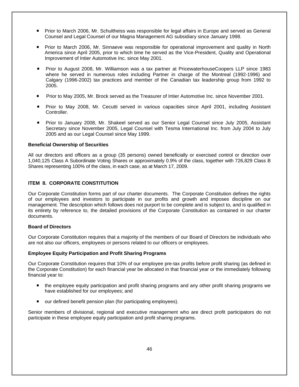- Prior to March 2006, Mr. Schultheiss was responsible for legal affairs in Europe and served as General Counsel and Legal Counsel of our Magna Management AG subsidiary since January 1998.
- **Prior to March 2006, Mr. Sinnaeve was responsible for operational improvement and quality in North** America since April 2005, prior to which time he served as the Vice-President, Quality and Operational Improvement of Intier Automotive Inc. since May 2001.
- Prior to August 2008, Mr. Williamson was a tax partner at PricewaterhouseCoopers LLP since 1983 where he served in numerous roles including Partner in charge of the Montreal (1992-1996) and Calgary (1996-2002) tax practices and member of the Canadian tax leadership group from 1992 to 2005.
- Prior to May 2005, Mr. Brock served as the Treasurer of Intier Automotive Inc. since November 2001.
- Prior to May 2008, Mr. Cecutti served in various capacities since April 2001, including Assistant Controller.
- Prior to January 2008, Mr. Shakeel served as our Senior Legal Counsel since July 2005, Assistant Secretary since November 2005, Legal Counsel with Tesma International Inc. from July 2004 to July 2005 and as our Legal Counsel since May 1999.

### **Beneficial Ownership of Securities**

All our directors and officers as a group (35 persons) owned beneficially or exercised control or direction over 1,040,125 Class A Subordinate Voting Shares or approximately 0.9% of the class, together with 726,829 Class B Shares representing 100% of the class, in each case, as at March 17, 2009.

## **ITEM 8. CORPORATE CONSTITUTION**

Our Corporate Constitution forms part of our charter documents. The Corporate Constitution defines the rights of our employees and investors to participate in our profits and growth and imposes discipline on our management. The description which follows does not purport to be complete and is subject to, and is qualified in its entirety by reference to, the detailed provisions of the Corporate Constitution as contained in our charter documents.

# **Board of Directors**

Our Corporate Constitution requires that a majority of the members of our Board of Directors be individuals who are not also our officers, employees or persons related to our officers or employees.

### **Employee Equity Participation and Profit Sharing Programs**

Our Corporate Constitution requires that 10% of our employee pre-tax profits before profit sharing (as defined in the Corporate Constitution) for each financial year be allocated in that financial year or the immediately following financial year to:

- the employee equity participation and profit sharing programs and any other profit sharing programs we have established for our employees; and
- our defined benefit pension plan (for participating employees).

Senior members of divisional, regional and executive management who are direct profit participators do not participate in these employee equity participation and profit sharing programs.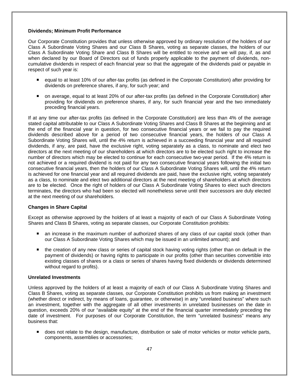## **Dividends; Minimum Profit Performance**

Our Corporate Constitution provides that unless otherwise approved by ordinary resolution of the holders of our Class A Subordinate Voting Shares and our Class B Shares, voting as separate classes, the holders of our Class A Subordinate Voting Share and Class B Shares will be entitled to receive and we will pay, if, as and when declared by our Board of Directors out of funds properly applicable to the payment of dividends, noncumulative dividends in respect of each financial year so that the aggregate of the dividends paid or payable in respect of such year is:

- equal to at least 10% of our after-tax profits (as defined in the Corporate Constitution) after providing for dividends on preference shares, if any, for such year; and
- on average, equal to at least 20% of our after-tax profits (as defined in the Corporate Constitution) after providing for dividends on preference shares, if any, for such financial year and the two immediately preceding financial years.

If at any time our after-tax profits (as defined in the Corporate Constitution) are less than 4% of the average stated capital attributable to our Class A Subordinate Voting Shares and Class B Shares at the beginning and at the end of the financial year in question, for two consecutive financial years or we fail to pay the required dividends described above for a period of two consecutive financial years, the holders of our Class A Subordinate Voting Shares will, until the 4% return is achieved in a succeeding financial year and all required dividends, if any, are paid, have the exclusive right, voting separately as a class, to nominate and elect two directors at the next meeting of our shareholders at which directors are to be elected such right to increase the number of directors which may be elected to continue for each consecutive two-year period. If the 4% return is not achieved or a required dividend is not paid for any two consecutive financial years following the initial two consecutive financial years, then the holders of our Class A Subordinate Voting Shares will, until the 4% return is achieved for one financial year and all required dividends are paid, have the exclusive right, voting separately as a class, to nominate and elect two additional directors at the next meeting of shareholders at which directors are to be elected. Once the right of holders of our Class A Subordinate Voting Shares to elect such directors terminates, the directors who had been so elected will nonetheless serve until their successors are duly elected at the next meeting of our shareholders.

## **Changes in Share Capital**

Except as otherwise approved by the holders of at least a majority of each of our Class A Subordinate Voting Shares and Class B Shares, voting as separate classes, our Corporate Constitution prohibits:

- an increase in the maximum number of authorized shares of any class of our capital stock (other than our Class A Subordinate Voting Shares which may be issued in an unlimited amount); and
- the creation of any new class or series of capital stock having voting rights (other than on default in the payment of dividends) or having rights to participate in our profits (other than securities convertible into existing classes of shares or a class or series of shares having fixed dividends or dividends determined without regard to profits).

### **Unrelated Investments**

Unless approved by the holders of at least a majority of each of our Class A Subordinate Voting Shares and Class B Shares, voting as separate classes, our Corporate Constitution prohibits us from making an investment (whether direct or indirect, by means of loans, guarantee, or otherwise) in any "unrelated business" where such an investment, together with the aggregate of all other investments in unrelated businesses on the date in question, exceeds 20% of our "available equity" at the end of the financial quarter immediately preceding the date of investment. For purposes of our Corporate Constitution, the term "unrelated business" means any business that:

 does not relate to the design, manufacture, distribution or sale of motor vehicles or motor vehicle parts, components, assemblies or accessories;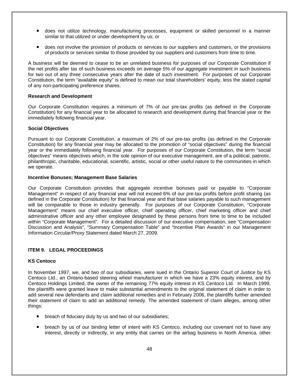- does not utilize technology, manufacturing processes, equipment or skilled personnel in a manner similar to that utilized or under development by us; or
- **does not involve the provision of products or services to our suppliers and customers, or the provisions** of products or services similar to those provided by our suppliers and customers from time to time.

A business will be deemed to cease to be an unrelated business for purposes of our Corporate Constitution if the net profits after tax of such business exceeds on average 5% of our aggregate investment in such business for two out of any three consecutive years after the date of such investment. For purposes of our Corporate Constitution, the term "available equity" is defined to mean our total shareholders' equity, less the stated capital of any non-participating preference shares.

### **Research and Development**

Our Corporate Constitution requires a minimum of 7% of our pre-tax profits (as defined in the Corporate Constitution) for any financial year to be allocated to research and development during that financial year or the immediately following financial year.

## **Social Objectives**

Pursuant to our Corporate Constitution, a maximum of 2% of our pre-tax profits (as defined in the Corporate Constitution) for any financial year may be allocated to the promotion of "social objectives" during the financial year or the immediately following financial year. For purposes of our Corporate Constitution, the term "social objectives" means objectives which, in the sole opinion of our executive management, are of a political, patriotic, philanthropic, charitable, educational, scientific, artistic, social or other useful nature to the communities in which we operate.

### **Incentive Bonuses; Management Base Salaries**

Our Corporate Constitution provides that aggregate incentive bonuses paid or payable to "Corporate Management" in respect of any financial year will not exceed 6% of our pre-tax profits before profit sharing (as defined in the Corporate Constitution) for that financial year and that base salaries payable to such management will be comparable to those in industry generally. For purposes of our Corporate Constitution, "Corporate Management" means our chief executive officer, chief operating officer, chief marketing officer and chief administrative officer and any other employee designated by these persons from time to time to be included within "Corporate Management". For a detailed discussion of our executive compensation, see "Compensation Discussion and Analysis", "Summary Compensation Table" and "Incentive Plan Awards" in our Management Information Circular/Proxy Statement dated March 27, 2009.

# **ITEM 9. LEGAL PROCEEDINGS**

## **KS Centoco**

In November 1997, we, and two of our subsidiaries, were sued in the Ontario Superior Court of Justice by KS Centoco Ltd., an Ontario-based steering wheel manufacturer in which we have a 23% equity interest, and by Centoco Holdings Limited, the owner of the remaining 77% equity interest in KS Centoco Ltd. In March 1999, the plaintiffs were granted leave to make substantial amendments to the original statement of claim in order to add several new defendants and claim additional remedies and in February 2006, the plaintiffs further amended their statement of claim to add an additional remedy. The amended statement of claim alleges, among other things:

- **Deach of fiduciary duty by us and two of our subsidiaries;**
- breach by us of our binding letter of intent with KS Centoco, including our covenant not to have any interest, directly or indirectly, in any entity that carries on the airbag business in North America, other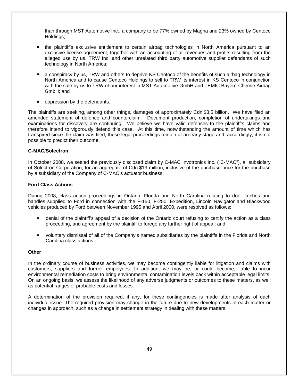than through MST Automotive Inc., a company to be 77% owned by Magna and 23% owned by Centoco Holdings;

- the plaintiff's exclusive entitlement to certain airbag technologies in North America pursuant to an exclusive license agreement, together with an accounting of all revenues and profits resulting from the alleged use by us, TRW Inc. and other unrelated third party automotive supplier defendants of such technology in North America;
- a conspiracy by us, TRW and others to deprive KS Centoco of the benefits of such airbag technology in North America and to cause Centoco Holdings to sell to TRW its interest in KS Centoco in conjunction with the sale by us to TRW of our interest in MST Automotive GmbH and TEMIC Bayern-Chemie Airbag GmbH; and
- oppression by the defendants.

The plaintiffs are seeking, among other things, damages of approximately Cdn.\$3.5 billion. We have filed an amended statement of defence and counterclaim. Document production, completion of undertakings and examinations for discovery are continuing. We believe we have valid defenses to the plaintiff's claims and therefore intend to vigorously defend this case. At this time, notwithstanding the amount of time which has transpired since the claim was filed, these legal proceedings remain at an early stage and, accordingly, it is not possible to predict their outcome.

### **C-MAC/Solectron**

In October 2008, we settled the previously disclosed claim by C-MAC Invotronics Inc. ("C-MAC"), a subsidiary of Solectron Corporation, for an aggregate of Cdn.\$13 million, inclusive of the purchase price for the purchase by a subsidiary of the Company of C-MAC's actuator business.

### **Ford Class Actions**

During 2008, class action proceedings in Ontario, Florida and North Carolina relating to door latches and handles supplied to Ford in connection with the F-150, F-250, Expedition, Lincoln Navigator and Blackwood vehicles produced by Ford between November 1995 and April 2000, were resolved as follows:

- denial of the plaintiff's appeal of a decision of the Ontario court refusing to certify the action as a class proceeding, and agreement by the plaintiff to forego any further right of appeal; and
- voluntary dismissal of all of the Company's named subsidiaries by the plaintiffs in the Florida and North Carolina class actions.

### **Other**

In the ordinary course of business activities, we may become contingently liable for litigation and claims with customers, suppliers and former employees. In addition, we may be, or could become, liable to incur environmental remediation costs to bring environmental contamination levels back within acceptable legal limits. On an ongoing basis, we assess the likelihood of any adverse judgments or outcomes to these matters, as well as potential ranges of probable costs and losses.

A determination of the provision required, if any, for these contingencies is made after analysis of each individual issue. The required provision may change in the future due to new developments in each matter or changes in approach, such as a change in settlement strategy in dealing with these matters.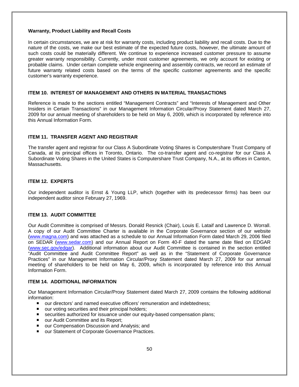## **Warranty, Product Liability and Recall Costs**

In certain circumstances, we are at risk for warranty costs, including product liability and recall costs. Due to the nature of the costs, we make our best estimate of the expected future costs, however, the ultimate amount of such costs could be materially different. We continue to experience increased customer pressure to assume greater warranty responsibility. Currently, under most customer agreements, we only account for existing or probable claims. Under certain complete vehicle engineering and assembly contracts, we record an estimate of future warranty related costs based on the terms of the specific customer agreements and the specific customer's warranty experience.

# **ITEM 10. INTEREST OF MANAGEMENT AND OTHERS IN MATERIAL TRANSACTIONS**

Reference is made to the sections entitled "Management Contracts" and "Interests of Management and Other Insiders in Certain Transactions" in our Management Information Circular/Proxy Statement dated March 27, 2009 for our annual meeting of shareholders to be held on May 6, 2009, which is incorporated by reference into this Annual Information Form.

# **ITEM 11. TRANSFER AGENT AND REGISTRAR**

The transfer agent and registrar for our Class A Subordinate Voting Shares is Computershare Trust Company of Canada, at its principal offices in Toronto, Ontario. The co-transfer agent and co-registrar for our Class A Subordinate Voting Shares in the United States is Computershare Trust Company, N.A., at its offices in Canton, Massachusetts.

# **ITEM 12. EXPERTS**

Our independent auditor is Ernst & Young LLP, which (together with its predecessor firms) has been our independent auditor since February 27, 1969.

# **ITEM 13. AUDIT COMMITTEE**

Our Audit Committee is comprised of Messrs. Donald Resnick (Chair), Louis E. Lataif and Lawrence D. Worrall. A copy of our Audit Committee Charter is available in the Corporate Governance section of our website (www.magna.com) and was attached as a schedule to our Annual Information Form dated March 29, 2006 filed on SEDAR (www.sedar.com) and our Annual Report on Form 40-F dated the same date filed on EDGAR (www.sec.gov/edgar). Additional information about our Audit Committee is contained in the section entitled "Audit Committee and Audit Committee Report" as well as in the "Statement of Corporate Governance Practices" in our Management Information Circular/Proxy Statement dated March 27, 2009 for our annual meeting of shareholders to be held on May 6, 2009, which is incorporated by reference into this Annual Information Form.

## **ITEM 14. ADDITIONAL INFORMATION**

Our Management Information Circular/Proxy Statement dated March 27, 2009 contains the following additional information:

- our directors' and named executive officers' remuneration and indebtedness;
- our voting securities and their principal holders;
- securities authorized for issuance under our equity-based compensation plans;
- our Audit Committee and its Report;
- our Compensation Discussion and Analysis: and
- our Statement of Corporate Governance Practices.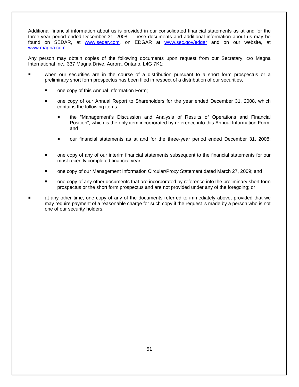Additional financial information about us is provided in our consolidated financial statements as at and for the three-year period ended December 31, 2008. These documents and additional information about us may be found on SEDAR, at www.sedar.com, on EDGAR at www.sec.gov/edgar and on our website, at www.magna.com.

Any person may obtain copies of the following documents upon request from our Secretary, c/o Magna International Inc., 337 Magna Drive, Aurora, Ontario, L4G 7K1:

- when our securities are in the course of a distribution pursuant to a short form prospectus or a preliminary short form prospectus has been filed in respect of a distribution of our securities,
	- one copy of this Annual Information Form;
	- one copy of our Annual Report to Shareholders for the year ended December 31, 2008, which contains the following items:
		- the "Management's Discussion and Analysis of Results of Operations and Financial Position", which is the only item incorporated by reference into this Annual Information Form; and
		- our financial statements as at and for the three-year period ended December 31, 2008;
	- one copy of any of our interim financial statements subsequent to the financial statements for our most recently completed financial year;
	- one copy of our Management Information Circular/Proxy Statement dated March 27, 2009; and
	- one copy of any other documents that are incorporated by reference into the preliminary short form prospectus or the short form prospectus and are not provided under any of the foregoing; or
- at any other time, one copy of any of the documents referred to immediately above, provided that we may require payment of a reasonable charge for such copy if the request is made by a person who is not one of our security holders.